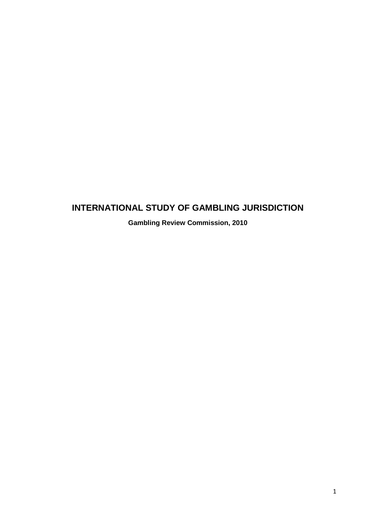# **INTERNATIONAL STUDY OF GAMBLING JURISDICTION**

**Gambling Review Commission, 2010**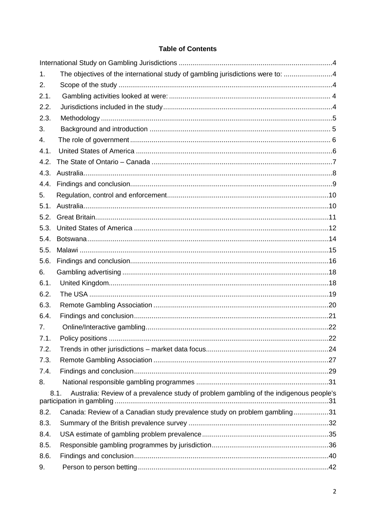# **Table of Contents**

| 1.   | The objectives of the international study of gambling jurisdictions were to: 4                                              |  |
|------|-----------------------------------------------------------------------------------------------------------------------------|--|
| 2.   |                                                                                                                             |  |
| 2.1. |                                                                                                                             |  |
| 2.2. |                                                                                                                             |  |
| 2.3. |                                                                                                                             |  |
| 3.   |                                                                                                                             |  |
| 4.   |                                                                                                                             |  |
| 4.1. |                                                                                                                             |  |
| 4.2. |                                                                                                                             |  |
| 4.3. |                                                                                                                             |  |
| 4.4. |                                                                                                                             |  |
| 5.   |                                                                                                                             |  |
| 5.1. |                                                                                                                             |  |
| 5.2. |                                                                                                                             |  |
| 5.3. |                                                                                                                             |  |
| 5.4. |                                                                                                                             |  |
| 5.5. |                                                                                                                             |  |
| 5.6. |                                                                                                                             |  |
| 6.   |                                                                                                                             |  |
| 6.1. |                                                                                                                             |  |
| 6.2. |                                                                                                                             |  |
| 6.3. |                                                                                                                             |  |
| 6.4. |                                                                                                                             |  |
| 7.   |                                                                                                                             |  |
| 7.1. |                                                                                                                             |  |
| 7.2. |                                                                                                                             |  |
| 7.3. |                                                                                                                             |  |
| 7.4. |                                                                                                                             |  |
| 8.   |                                                                                                                             |  |
|      | Australia: Review of a prevalence study of problem gambling of the indigenous people's<br>8.1.<br>participation in gambling |  |
| 8.2. | Canada: Review of a Canadian study prevalence study on problem gambling31                                                   |  |
| 8.3. |                                                                                                                             |  |
| 8.4. |                                                                                                                             |  |
| 8.5. |                                                                                                                             |  |
| 8.6. |                                                                                                                             |  |
| 9.   |                                                                                                                             |  |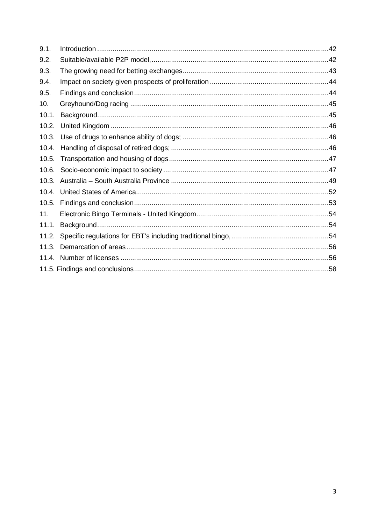| 9.1.  |  |
|-------|--|
| 9.2.  |  |
| 9.3.  |  |
| 9.4.  |  |
| 9.5.  |  |
| 10.   |  |
| 10.1. |  |
| 10.2. |  |
| 10.3. |  |
| 10.4. |  |
| 10.5. |  |
| 10.6. |  |
| 10.3. |  |
|       |  |
|       |  |
| 11.   |  |
| 11.1. |  |
|       |  |
| 11.3. |  |
|       |  |
|       |  |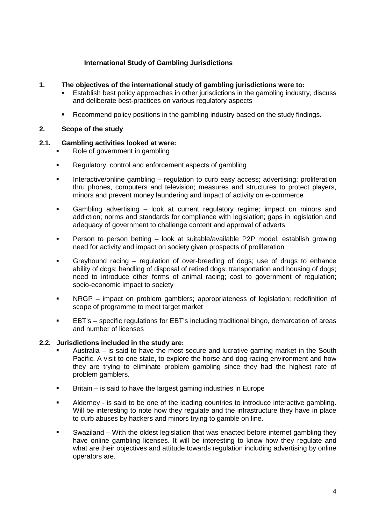# **International Study of Gambling Jurisdictions**

# <span id="page-3-1"></span><span id="page-3-0"></span>**1. The objectives of the international study of gambling jurisdictions were to:**

- Establish best policy approaches in other jurisdictions in the gambling industry, discuss and deliberate best-practices on various regulatory aspects
- Recommend policy positions in the gambling industry based on the study findings.

# <span id="page-3-2"></span>**2. Scope of the study**

# <span id="page-3-3"></span>**2.1. Gambling activities looked at were:**

- Role of government in gambling
- Requiatory, control and enforcement aspects of gambling
- **Interactive/online gambling regulation to curb easy access; advertising; proliferation** thru phones, computers and television; measures and structures to protect players, minors and prevent money laundering and impact of activity on e-commerce
- Gambling advertising look at current regulatory regime; impact on minors and addiction; norms and standards for compliance with legislation; gaps in legislation and adequacy of government to challenge content and approval of adverts
- Person to person betting look at suitable/available P2P model, establish growing need for activity and impact on society given prospects of proliferation
- Greyhound racing regulation of over-breeding of dogs; use of drugs to enhance ability of dogs; handling of disposal of retired dogs; transportation and housing of dogs; need to introduce other forms of animal racing; cost to government of regulation; socio-economic impact to society
- NRGP impact on problem gamblers; appropriateness of legislation; redefinition of scope of programme to meet target market
- EBT's specific regulations for EBT's including traditional bingo, demarcation of areas and number of licenses

# <span id="page-3-4"></span>**2.2. Jurisdictions included in the study are:**

- Australia is said to have the most secure and lucrative gaming market in the South Pacific. A visit to one state, to explore the horse and dog racing environment and how they are trying to eliminate problem gambling since they had the highest rate of problem gamblers.
- Britain is said to have the largest gaming industries in Europe
- Alderney is said to be one of the leading countries to introduce interactive gambling. Will be interesting to note how they regulate and the infrastructure they have in place to curb abuses by hackers and minors trying to gamble on line.
- Swaziland With the oldest legislation that was enacted before internet gambling they have online gambling licenses. It will be interesting to know how they regulate and what are their objectives and attitude towards regulation including advertising by online operators are.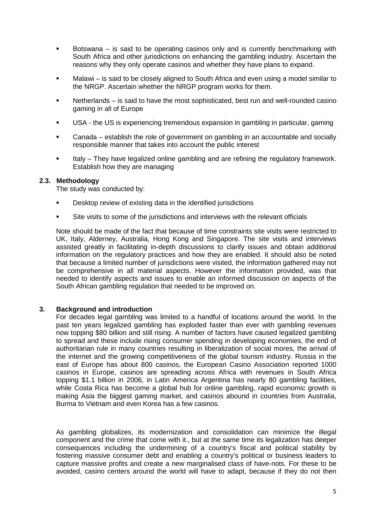- Botswana is said to be operating casinos only and is currently benchmarking with South Africa and other jurisdictions on enhancing the gambling industry. Ascertain the reasons why they only operate casinos and whether they have plans to expand.
- Malawi is said to be closely aligned to South Africa and even using a model similar to the NRGP. Ascertain whether the NRGP program works for them.
- Netherlands is said to have the most sophisticated, best run and well-rounded casino gaming in all of Europe
- USA the US is experiencing tremendous expansion in gambling in particular, gaming
- Canada establish the role of government on gambling in an accountable and socially responsible manner that takes into account the public interest
- Italy They have legalized online gambling and are refining the regulatory framework. Establish how they are managing

## <span id="page-4-0"></span>**2.3. Methodology**

The study was conducted by:

- Desktop review of existing data in the identified jurisdictions
- Site visits to some of the jurisdictions and interviews with the relevant officials

Note should be made of the fact that because of time constraints site visits were restricted to UK, Italy, Alderney, Australia, Hong Kong and Singapore. The site visits and interviews assisted greatly in facilitating in-depth discussions to clarify issues and obtain additional information on the regulatory practices and how they are enabled. It should also be noted that because a limited number of jurisdictions were visited, the information gathered may not be comprehensive in all material aspects. However the information provided, was that needed to identify aspects and issues to enable an informed discussion on aspects of the South African gambling regulation that needed to be improved on.

#### **3. Background and introduction**

<span id="page-4-1"></span>For decades legal gambling was limited to a handful of locations around the world. In the past ten years legalized gambling has exploded faster than ever with gambling revenues now topping \$80 billion and still rising. A number of factors have caused legalized gambling to spread and these include rising consumer spending in developing economies, the end of authoritarian rule in many countries resulting in liberalization of social mores, the arrival of the internet and the growing competitiveness of the global tourism industry. Russia in the east of Europe has about 800 casinos, the European Casino Association reported 1000 casinos in Europe, casinos are spreading across Africa with revenues in South Africa topping \$1.1 billion in 2006, in Latin America Argentina has nearly 80 gambling facilities, while Costa Rica has become a global hub for online gambling, rapid economic growth is making Asia the biggest gaming market, and casinos abound in countries from Australia, Burma to Vietnam and even Korea has a few casinos.

As gambling globalizes, its modernization and consolidation can minimize the illegal component and the crime that come with it., but at the same time its legalization has deeper consequences including the undermining of a country's fiscal and political stability by fostering massive consumer debt and enabling a country's political or business leaders to capture massive profits and create a new marginalised class of have-nots. For these to be avoided, casino centers around the world will have to adapt, because if they do not then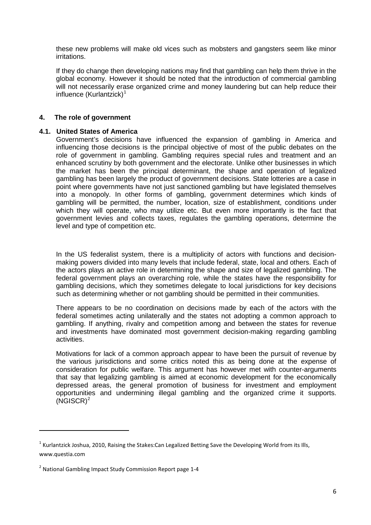these new problems will make old vices such as mobsters and gangsters seem like minor irritations.

If they do change then developing nations may find that gambling can help them thrive in the global economy. However it should be noted that the introduction of commercial gambling will not necessarily erase organized crime and money laundering but can help reduce their influence  $(Kurlantzick)^1$  $(Kurlantzick)^1$ 

# <span id="page-5-0"></span>**4. The role of government**

#### <span id="page-5-1"></span>**4.1. United States of America**

Government's decisions have influenced the expansion of gambling in America and influencing those decisions is the principal objective of most of the public debates on the role of government in gambling. Gambling requires special rules and treatment and an enhanced scrutiny by both government and the electorate. Unlike other businesses in which the market has been the principal determinant, the shape and operation of legalized gambling has been largely the product of government decisions. State lotteries are a case in point where governments have not just sanctioned gambling but have legislated themselves into a monopoly. In other forms of gambling, government determines which kinds of gambling will be permitted, the number, location, size of establishment, conditions under which they will operate, who may utilize etc. But even more importantly is the fact that government levies and collects taxes, regulates the gambling operations, determine the level and type of competition etc.

In the US federalist system, there is a multiplicity of actors with functions and decisionmaking powers divided into many levels that include federal, state, local and others. Each of the actors plays an active role in determining the shape and size of legalized gambling. The federal government plays an overarching role, while the states have the responsibility for gambling decisions, which they sometimes delegate to local jurisdictions for key decisions such as determining whether or not gambling should be permitted in their communities.

There appears to be no coordination on decisions made by each of the actors with the federal sometimes acting unilaterally and the states not adopting a common approach to gambling. If anything, rivalry and competition among and between the states for revenue and investments have dominated most government decision-making regarding gambling activities.

Motivations for lack of a common approach appear to have been the pursuit of revenue by the various jurisdictions and some critics noted this as being done at the expense of consideration for public welfare. This argument has however met with counter-arguments that say that legalizing gambling is aimed at economic development for the economically depressed areas, the general promotion of business for investment and employment opportunities and undermining illegal gambling and the organized crime it supports.  $(NGISCR)^2$  $(NGISCR)^2$ 

<u>.</u>

<span id="page-5-2"></span><sup>&</sup>lt;sup>1</sup> Kurlantzick Joshua, 2010, Raising the Stakes:Can Legalized Betting Save the Developing World from its Ills, www.questia.com

<span id="page-5-3"></span> $2$  National Gambling Impact Study Commission Report page 1-4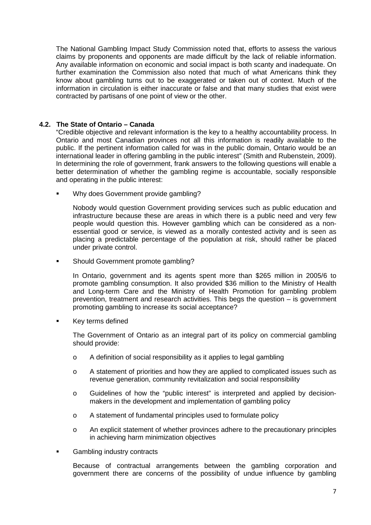The National Gambling Impact Study Commission noted that, efforts to assess the various claims by proponents and opponents are made difficult by the lack of reliable information. Any available information on economic and social impact is both scanty and inadequate. On further examination the Commission also noted that much of what Americans think they know about gambling turns out to be exaggerated or taken out of context. Much of the information in circulation is either inaccurate or false and that many studies that exist were contracted by partisans of one point of view or the other.

# <span id="page-6-0"></span>**4.2. The State of Ontario – Canada**

"Credible objective and relevant information is the key to a healthy accountability process. In Ontario and most Canadian provinces not all this information is readily available to the public. If the pertinent information called for was in the public domain, Ontario would be an international leader in offering gambling in the public interest" (Smith and Rubenstein, 2009). In determining the role of government, frank answers to the following questions will enable a better determination of whether the gambling regime is accountable, socially responsible and operating in the public interest:

Why does Government provide gambling?

Nobody would question Government providing services such as public education and infrastructure because these are areas in which there is a public need and very few people would question this. However gambling which can be considered as a nonessential good or service, is viewed as a morally contested activity and is seen as placing a predictable percentage of the population at risk, should rather be placed under private control.

**Should Government promote gambling?** 

In Ontario, government and its agents spent more than \$265 million in 2005/6 to promote gambling consumption. It also provided \$36 million to the Ministry of Health and Long-term Care and the Ministry of Health Promotion for gambling problem prevention, treatment and research activities. This begs the question – is government promoting gambling to increase its social acceptance?

Key terms defined

The Government of Ontario as an integral part of its policy on commercial gambling should provide:

- o A definition of social responsibility as it applies to legal gambling
- o A statement of priorities and how they are applied to complicated issues such as revenue generation, community revitalization and social responsibility
- o Guidelines of how the "public interest" is interpreted and applied by decisionmakers in the development and implementation of gambling policy
- o A statement of fundamental principles used to formulate policy
- o An explicit statement of whether provinces adhere to the precautionary principles in achieving harm minimization objectives
- Gambling industry contracts

Because of contractual arrangements between the gambling corporation and government there are concerns of the possibility of undue influence by gambling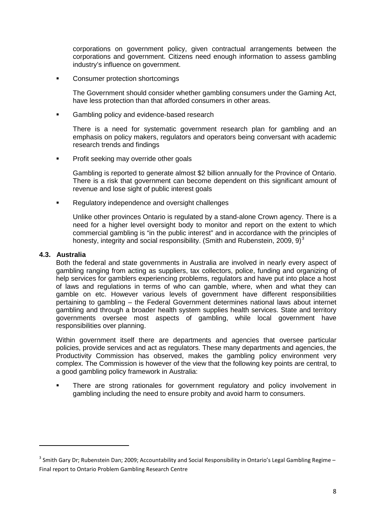corporations on government policy, given contractual arrangements between the corporations and government. Citizens need enough information to assess gambling industry's influence on government.

**EXECONSUMER PROTECTION SHORE CONSUMER** 

The Government should consider whether gambling consumers under the Gaming Act, have less protection than that afforded consumers in other areas.

**Gambling policy and evidence-based research** 

There is a need for systematic government research plan for gambling and an emphasis on policy makers, regulators and operators being conversant with academic research trends and findings

**•** Profit seeking may override other goals

Gambling is reported to generate almost \$2 billion annually for the Province of Ontario. There is a risk that government can become dependent on this significant amount of revenue and lose sight of public interest goals

**Regulatory independence and oversight challenges** 

Unlike other provinces Ontario is regulated by a stand-alone Crown agency. There is a need for a higher level oversight body to monitor and report on the extent to which commercial gambling is "in the public interest" and in accordance with the principles of honesty, integrity and social responsibility. (Smith and Rubenstein, 2009, 9) $3$ 

## <span id="page-7-0"></span>**4.3. Australia**

<u>.</u>

Both the federal and state governments in Australia are involved in nearly every aspect of gambling ranging from acting as suppliers, tax collectors, police, funding and organizing of help services for gamblers experiencing problems, regulators and have put into place a host of laws and regulations in terms of who can gamble, where, when and what they can gamble on etc. However various levels of government have different responsibilities pertaining to gambling – the Federal Government determines national laws about internet gambling and through a broader health system supplies health services. State and territory governments oversee most aspects of gambling, while local government have responsibilities over planning.

Within government itself there are departments and agencies that oversee particular policies, provide services and act as regulators. These many departments and agencies, the Productivity Commission has observed, makes the gambling policy environment very complex. The Commission is however of the view that the following key points are central, to a good gambling policy framework in Australia:

 There are strong rationales for government regulatory and policy involvement in gambling including the need to ensure probity and avoid harm to consumers.

<span id="page-7-1"></span> $3$  Smith Gary Dr; Rubenstein Dan; 2009; Accountability and Social Responsibility in Ontario's Legal Gambling Regime – Final report to Ontario Problem Gambling Research Centre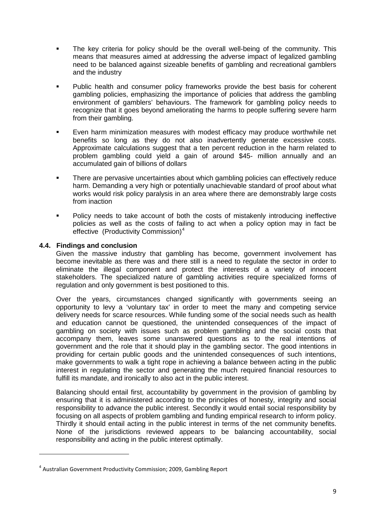- The key criteria for policy should be the overall well-being of the community. This means that measures aimed at addressing the adverse impact of legalized gambling need to be balanced against sizeable benefits of gambling and recreational gamblers and the industry
- Public health and consumer policy frameworks provide the best basis for coherent gambling policies, emphasizing the importance of policies that address the gambling environment of gamblers' behaviours. The framework for gambling policy needs to recognize that it goes beyond ameliorating the harms to people suffering severe harm from their gambling.
- Even harm minimization measures with modest efficacy may produce worthwhile net benefits so long as they do not also inadvertently generate excessive costs. Approximate calculations suggest that a ten percent reduction in the harm related to problem gambling could yield a gain of around \$45- million annually and an accumulated gain of billions of dollars
- There are pervasive uncertainties about which gambling policies can effectively reduce harm. Demanding a very high or potentially unachievable standard of proof about what works would risk policy paralysis in an area where there are demonstrably large costs from inaction
- **Policy needs to take account of both the costs of mistakenly introducing ineffective** policies as well as the costs of failing to act when a policy option may in fact be effective (Productivity Commission)<sup>[4](#page-8-1)</sup>

# <span id="page-8-0"></span>**4.4. Findings and conclusion**

.<br>-

Given the massive industry that gambling has become, government involvement has become inevitable as there was and there still is a need to regulate the sector in order to eliminate the illegal component and protect the interests of a variety of innocent stakeholders. The specialized nature of gambling activities require specialized forms of regulation and only government is best positioned to this.

Over the years, circumstances changed significantly with governments seeing an opportunity to levy a 'voluntary tax' in order to meet the many and competing service delivery needs for scarce resources. While funding some of the social needs such as health and education cannot be questioned, the unintended consequences of the impact of gambling on society with issues such as problem gambling and the social costs that accompany them, leaves some unanswered questions as to the real intentions of government and the role that it should play in the gambling sector. The good intentions in providing for certain public goods and the unintended consequences of such intentions, make governments to walk a tight rope in achieving a balance between acting in the public interest in regulating the sector and generating the much required financial resources to fulfill its mandate, and ironically to also act in the public interest.

Balancing should entail first, accountability by government in the provision of gambling by ensuring that it is administered according to the principles of honesty, integrity and social responsibility to advance the public interest. Secondly it would entail social responsibility by focusing on all aspects of problem gambling and funding empirical research to inform policy. Thirdly it should entail acting in the public interest in terms of the net community benefits. None of the jurisdictions reviewed appears to be balancing accountability, social responsibility and acting in the public interest optimally.

<span id="page-8-1"></span><sup>4</sup> Australian Government Productivity Commission; 2009, Gambling Report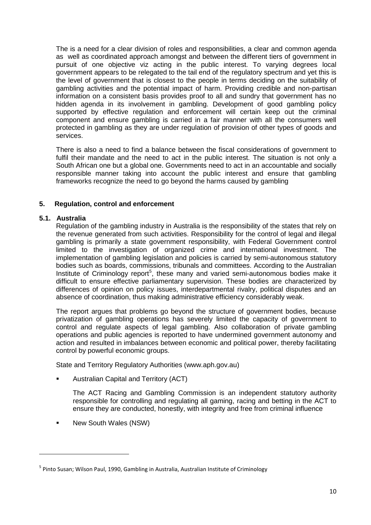The is a need for a clear division of roles and responsibilities, a clear and common agenda as well as coordinated approach amongst and between the different tiers of government in pursuit of one objective viz acting in the public interest. To varying degrees local government appears to be relegated to the tail end of the regulatory spectrum and yet this is the level of government that is closest to the people in terms deciding on the suitability of gambling activities and the potential impact of harm. Providing credible and non-partisan information on a consistent basis provides proof to all and sundry that government has no hidden agenda in its involvement in gambling. Development of good gambling policy supported by effective regulation and enforcement will certain keep out the criminal component and ensure gambling is carried in a fair manner with all the consumers well protected in gambling as they are under regulation of provision of other types of goods and services.

There is also a need to find a balance between the fiscal considerations of government to fulfil their mandate and the need to act in the public interest. The situation is not only a South African one but a global one. Governments need to act in an accountable and socially responsible manner taking into account the public interest and ensure that gambling frameworks recognize the need to go beyond the harms caused by gambling

# <span id="page-9-0"></span>**5. Regulation, control and enforcement**

# <span id="page-9-1"></span>**5.1. Australia**

.<br>-

Regulation of the gambling industry in Australia is the responsibility of the states that rely on the revenue generated from such activities. Responsibility for the control of legal and illegal gambling is primarily a state government responsibility, with Federal Government control limited to the investigation of organized crime and international investment. The implementation of gambling legislation and policies is carried by semi-autonomous statutory bodies such as boards, commissions, tribunals and committees. According to the Australian Institute of Criminology report<sup>[5](#page-9-2)</sup>, these many and varied semi-autonomous bodies make it difficult to ensure effective parliamentary supervision. These bodies are characterized by differences of opinion on policy issues, interdepartmental rivalry, political disputes and an absence of coordination, thus making administrative efficiency considerably weak.

The report argues that problems go beyond the structure of government bodies, because privatization of gambling operations has severely limited the capacity of government to control and regulate aspects of legal gambling. Also collaboration of private gambling operations and public agencies is reported to have undermined government autonomy and action and resulted in imbalances between economic and political power, thereby facilitating control by powerful economic groups.

State and Territory Regulatory Authorities (www.aph.gov.au)

Australian Capital and Territory (ACT)

The ACT Racing and Gambling Commission is an independent statutory authority responsible for controlling and regulating all gaming, racing and betting in the ACT to ensure they are conducted, honestly, with integrity and free from criminal influence

New South Wales (NSW)

<span id="page-9-2"></span><sup>&</sup>lt;sup>5</sup> Pinto Susan; Wilson Paul, 1990, Gambling in Australia, Australian Institute of Criminology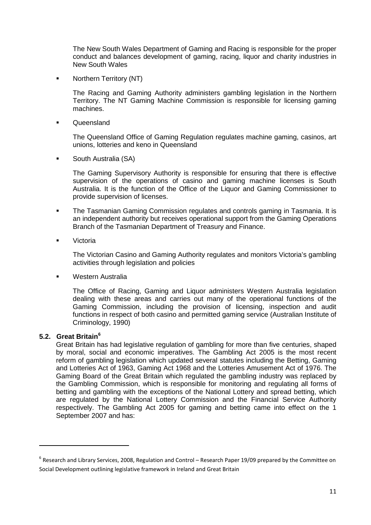The New South Wales Department of Gaming and Racing is responsible for the proper conduct and balances development of gaming, racing, liquor and charity industries in New South Wales

• Northern Territory (NT)

The Racing and Gaming Authority administers gambling legislation in the Northern Territory. The NT Gaming Machine Commission is responsible for licensing gaming machines.

**Cueensland** 

The Queensland Office of Gaming Regulation regulates machine gaming, casinos, art unions, lotteries and keno in Queensland

**South Australia (SA)** 

The Gaming Supervisory Authority is responsible for ensuring that there is effective supervision of the operations of casino and gaming machine licenses is South Australia. It is the function of the Office of the Liquor and Gaming Commissioner to provide supervision of licenses.

- The Tasmanian Gaming Commission regulates and controls gaming in Tasmania. It is an independent authority but receives operational support from the Gaming Operations Branch of the Tasmanian Department of Treasury and Finance.
- Victoria

The Victorian Casino and Gaming Authority regulates and monitors Victoria's gambling activities through legislation and policies

**Western Australia** 

The Office of Racing, Gaming and Liquor administers Western Australia legislation dealing with these areas and carries out many of the operational functions of the Gaming Commission, including the provision of licensing, inspection and audit functions in respect of both casino and permitted gaming service (Australian Institute of Criminology, 1990)

# <span id="page-10-0"></span>**5.2. Great Britain[6](#page-10-1)**

<u>.</u>

Great Britain has had legislative regulation of gambling for more than five centuries, shaped by moral, social and economic imperatives. The Gambling Act 2005 is the most recent reform of gambling legislation which updated several statutes including the Betting, Gaming and Lotteries Act of 1963, Gaming Act 1968 and the Lotteries Amusement Act of 1976. The Gaming Board of the Great Britain which regulated the gambling industry was replaced by the Gambling Commission, which is responsible for monitoring and regulating all forms of betting and gambling with the exceptions of the National Lottery and spread betting, which are regulated by the National Lottery Commission and the Financial Service Authority respectively. The Gambling Act 2005 for gaming and betting came into effect on the 1 September 2007 and has:

<span id="page-10-1"></span> $^6$  Research and Library Services, 2008, Regulation and Control – Research Paper 19/09 prepared by the Committee on Social Development outlining legislative framework in Ireland and Great Britain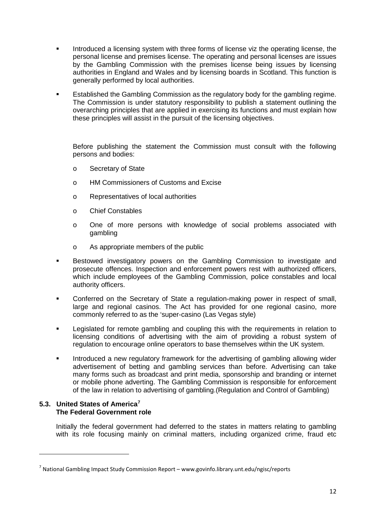- Introduced a licensing system with three forms of license viz the operating license, the personal license and premises license. The operating and personal licenses are issues by the Gambling Commission with the premises license being issues by licensing authorities in England and Wales and by licensing boards in Scotland. This function is generally performed by local authorities.
- Established the Gambling Commission as the regulatory body for the gambling regime. The Commission is under statutory responsibility to publish a statement outlining the overarching principles that are applied in exercising its functions and must explain how these principles will assist in the pursuit of the licensing objectives.

Before publishing the statement the Commission must consult with the following persons and bodies:

- o Secretary of State
- o HM Commissioners of Customs and Excise
- o Representatives of local authorities
- o Chief Constables
- o One of more persons with knowledge of social problems associated with gambling
- o As appropriate members of the public
- **Bestowed investigatory powers on the Gambling Commission to investigate and** prosecute offences. Inspection and enforcement powers rest with authorized officers, which include employees of the Gambling Commission, police constables and local authority officers.
- **Conferred on the Secretary of State a regulation-making power in respect of small,** large and regional casinos. The Act has provided for one regional casino, more commonly referred to as the 'super-casino (Las Vegas style)
- **EXECT** Legislated for remote gambling and coupling this with the requirements in relation to licensing conditions of advertising with the aim of providing a robust system of regulation to encourage online operators to base themselves within the UK system.
- Introduced a new regulatory framework for the advertising of gambling allowing wider advertisement of betting and gambling services than before. Advertising can take many forms such as broadcast and print media, sponsorship and branding or internet or mobile phone adverting. The Gambling Commission is responsible for enforcement of the law in relation to advertising of gambling.(Regulation and Control of Gambling)

# <span id="page-11-0"></span>**5.3. United States of America[7](#page-11-1) The Federal Government role**

.<br>-

Initially the federal government had deferred to the states in matters relating to gambling with its role focusing mainly on criminal matters, including organized crime, fraud etc

<span id="page-11-1"></span> $<sup>7</sup>$  National Gambling Impact Study Commission Report – www.govinfo.library.unt.edu/ngisc/reports</sup>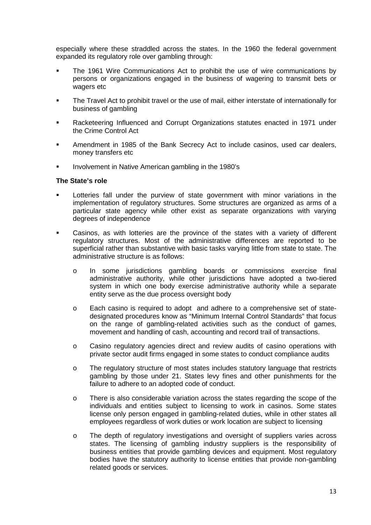especially where these straddled across the states. In the 1960 the federal government expanded its regulatory role over gambling through:

- The 1961 Wire Communications Act to prohibit the use of wire communications by persons or organizations engaged in the business of wagering to transmit bets or wagers etc
- The Travel Act to prohibit travel or the use of mail, either interstate of internationally for business of gambling
- Racketeering Influenced and Corrupt Organizations statutes enacted in 1971 under the Crime Control Act
- Amendment in 1985 of the Bank Secrecy Act to include casinos, used car dealers, money transfers etc
- Involvement in Native American gambling in the 1980's

#### **The State's role**

- Lotteries fall under the purview of state government with minor variations in the implementation of regulatory structures. Some structures are organized as arms of a particular state agency while other exist as separate organizations with varying degrees of independence
- Casinos, as with lotteries are the province of the states with a variety of different regulatory structures. Most of the administrative differences are reported to be superficial rather than substantive with basic tasks varying little from state to state. The administrative structure is as follows:
	- o In some jurisdictions gambling boards or commissions exercise final administrative authority, while other jurisdictions have adopted a two-tiered system in which one body exercise administrative authority while a separate entity serve as the due process oversight body
	- o Each casino is required to adopt and adhere to a comprehensive set of statedesignated procedures know as "Minimum Internal Control Standards" that focus on the range of gambling-related activities such as the conduct of games, movement and handling of cash, accounting and record trail of transactions.
	- o Casino regulatory agencies direct and review audits of casino operations with private sector audit firms engaged in some states to conduct compliance audits
	- o The regulatory structure of most states includes statutory language that restricts gambling by those under 21. States levy fines and other punishments for the failure to adhere to an adopted code of conduct.
	- o There is also considerable variation across the states regarding the scope of the individuals and entities subject to licensing to work in casinos. Some states license only person engaged in gambling-related duties, while in other states all employees regardless of work duties or work location are subject to licensing
	- o The depth of regulatory investigations and oversight of suppliers varies across states. The licensing of gambling industry suppliers is the responsibility of business entities that provide gambling devices and equipment. Most regulatory bodies have the statutory authority to license entities that provide non-gambling related goods or services.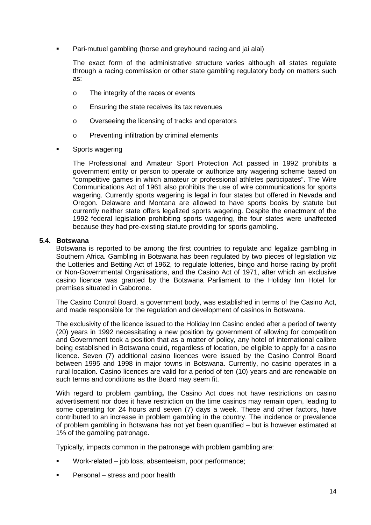Pari-mutuel gambling (horse and greyhound racing and jai alai)

The exact form of the administrative structure varies although all states regulate through a racing commission or other state gambling regulatory body on matters such as:

- o The integrity of the races or events
- o Ensuring the state receives its tax revenues
- o Overseeing the licensing of tracks and operators
- o Preventing infiltration by criminal elements
- Sports wagering

The Professional and Amateur Sport Protection Act passed in 1992 prohibits a government entity or person to operate or authorize any wagering scheme based on "competitive games in which amateur or professional athletes participates". The Wire Communications Act of 1961 also prohibits the use of wire communications for sports wagering. Currently sports wagering is legal in four states but offered in Nevada and Oregon. Delaware and Montana are allowed to have sports books by statute but currently neither state offers legalized sports wagering. Despite the enactment of the 1992 federal legislation prohibiting sports wagering, the four states were unaffected because they had pre-existing statute providing for sports gambling.

# <span id="page-13-0"></span>**5.4. Botswana**

Botswana is reported to be among the first countries to regulate and legalize gambling in Southern Africa. Gambling in Botswana has been regulated by two pieces of legislation viz the Lotteries and Betting Act of 1962, to regulate lotteries, bingo and horse racing by profit or Non-Governmental Organisations, and the Casino Act of 1971, after which an exclusive casino licence was granted by the Botswana Parliament to the Holiday Inn Hotel for premises situated in Gaborone.

The Casino Control Board, a government body, was established in terms of the Casino Act, and made responsible for the regulation and development of casinos in Botswana.

The exclusivity of the licence issued to the Holiday Inn Casino ended after a period of twenty (20) years in 1992 necessitating a new position by government of allowing for competition and Government took a position that as a matter of policy, any hotel of international calibre being established in Botswana could, regardless of location, be eligible to apply for a casino licence. Seven (7) additional casino licences were issued by the Casino Control Board between 1995 and 1998 in major towns in Botswana. Currently, no casino operates in a rural location. Casino licences are valid for a period of ten (10) years and are renewable on such terms and conditions as the Board may seem fit.

With regard to problem gambling**,** the Casino Act does not have restrictions on casino advertisement nor does it have restriction on the time casinos may remain open, leading to some operating for 24 hours and seven (7) days a week. These and other factors, have contributed to an increase in problem gambling in the country. The incidence or prevalence of problem gambling in Botswana has not yet been quantified – but is however estimated at 1% of the gambling patronage.

Typically, impacts common in the patronage with problem gambling are:

- Work-related job loss, absenteeism, poor performance;
- Personal stress and poor health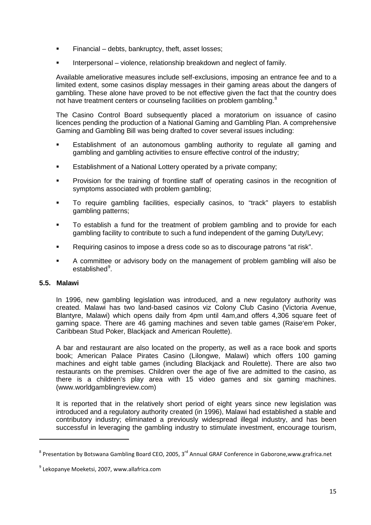- Financial debts, bankruptcy, theft, asset losses;
- Interpersonal violence, relationship breakdown and neglect of family.

Available ameliorative measures include self-exclusions, imposing an entrance fee and to a limited extent, some casinos display messages in their gaming areas about the dangers of gambling. These alone have proved to be not effective given the fact that the country does not have treatment centers or counseling facilities on problem gambling.<sup>[8](#page-14-1)</sup>

The Casino Control Board subsequently placed a moratorium on issuance of casino licences pending the production of a National Gaming and Gambling Plan. A comprehensive Gaming and Gambling Bill was being drafted to cover several issues including:

- Establishment of an autonomous gambling authority to regulate all gaming and gambling and gambling activities to ensure effective control of the industry;
- Establishment of a National Lottery operated by a private company;
- Provision for the training of frontline staff of operating casinos in the recognition of symptoms associated with problem gambling;
- To require gambling facilities, especially casinos, to "track" players to establish gambling patterns;
- To establish a fund for the treatment of problem gambling and to provide for each gambling facility to contribute to such a fund independent of the gaming Duty/Levy;
- Requiring casinos to impose a dress code so as to discourage patrons "at risk".
- A committee or advisory body on the management of problem gambling will also be established<sup>[9](#page-14-2)</sup>.

# <span id="page-14-0"></span>**5.5. Malawi**

<u>.</u>

In 1996, new gambling legislation was introduced, and a new regulatory authority was created. Malawi has two land-based casinos viz Colony Club Casino (Victoria Avenue, Blantyre, Malawi) which opens daily from 4pm until 4am,and offers 4,306 square feet of gaming space. There are 46 gaming machines and seven table games (Raise'em Poker, Caribbean Stud Poker, Blackjack and American Roulette).

A bar and restaurant are also located on the property, as well as a race book and sports book; American Palace Pirates Casino (Lilongwe, Malawi) which offers 100 gaming machines and eight table games (including Blackjack and Roulette). There are also two restaurants on the premises. Children over the age of five are admitted to the casino, as there is a children's play area with 15 video games and six gaming machines. (www.worldgamblingreview.com)

It is reported that in the relatively short period of eight years since new legislation was introduced and a regulatory authority created (in 1996), Malawi had established a stable and contributory industry; eliminated a previously widespread illegal industry, and has been successful in leveraging the gambling industry to stimulate investment, encourage tourism,

<span id="page-14-1"></span> $8$  Presentation by Botswana Gambling Board CEO, 2005, 3<sup>rd</sup> Annual GRAF Conference in Gaborone,www.grafrica.net

<span id="page-14-2"></span> $9$  Lekopanye Moeketsi, 2007, www.allafrica.com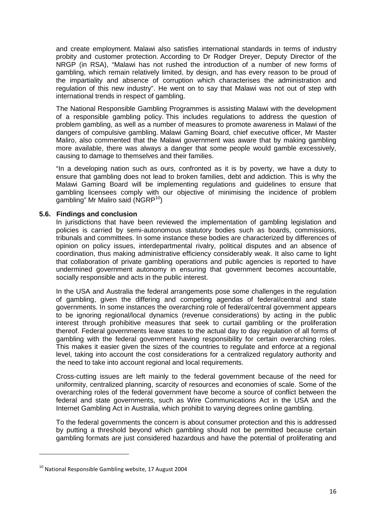and create employment. Malawi also satisfies international standards in terms of industry probity and customer protection. According to Dr Rodger Dreyer, Deputy Director of the NRGP (in RSA), "Malawi has not rushed the introduction of a number of new forms of gambling, which remain relatively limited, by design, and has every reason to be proud of the impartiality and absence of corruption which characterises the administration and regulation of this new industry". He went on to say that Malawi was not out of step with international trends in respect of gambling.

The National Responsible Gambling Programmes is assisting Malawi with the development of a responsible gambling policy. This includes regulations to address the question of problem gambling, as well as a number of measures to promote awareness in Malawi of the dangers of compulsive gambling. Malawi Gaming Board, chief executive officer, Mr Master Maliro, also commented that the Malawi government was aware that by making gambling more available, there was always a danger that some people would gamble excessively, causing to damage to themselves and their families.

"In a developing nation such as ours, confronted as it is by poverty, we have a duty to ensure that gambling does not lead to broken families, debt and addiction. This is why the Malawi Gaming Board will be implementing regulations and guidelines to ensure that gambling licensees comply with our objective of minimising the incidence of problem gambling" Mr Maliro said (NGRP<sup>[10](#page-15-1)</sup>)

## <span id="page-15-0"></span>**5.6. Findings and conclusion**

In jurisdictions that have been reviewed the implementation of gambling legislation and policies is carried by semi-autonomous statutory bodies such as boards, commissions, tribunals and committees. In some instance these bodies are characterized by differences of opinion on policy issues, interdepartmental rivalry, political disputes and an absence of coordination, thus making administrative efficiency considerably weak. It also came to light that collaboration of private gambling operations and public agencies is reported to have undermined government autonomy in ensuring that government becomes accountable, socially responsible and acts in the public interest.

In the USA and Australia the federal arrangements pose some challenges in the regulation of gambling, given the differing and competing agendas of federal/central and state governments. In some instances the overarching role of federal/central government appears to be ignoring regional/local dynamics (revenue considerations) by acting in the public interest through prohibitive measures that seek to curtail gambling or the proliferation thereof. Federal governments leave states to the actual day to day regulation of all forms of gambling with the federal government having responsibility for certain overarching roles. This makes it easier given the sizes of the countries to regulate and enforce at a regional level, taking into account the cost considerations for a centralized regulatory authority and the need to take into account regional and local requirements.

Cross-cutting issues are left mainly to the federal government because of the need for uniformity, centralized planning, scarcity of resources and economies of scale. Some of the overarching roles of the federal government have become a source of conflict between the federal and state governments, such as Wire Communications Act in the USA and the Internet Gambling Act in Australia, which prohibit to varying degrees online gambling.

To the federal governments the concern is about consumer protection and this is addressed by putting a threshold beyond which gambling should not be permitted because certain gambling formats are just considered hazardous and have the potential of proliferating and

<u>.</u>

<span id="page-15-1"></span> $10$  National Responsible Gambling website, 17 August 2004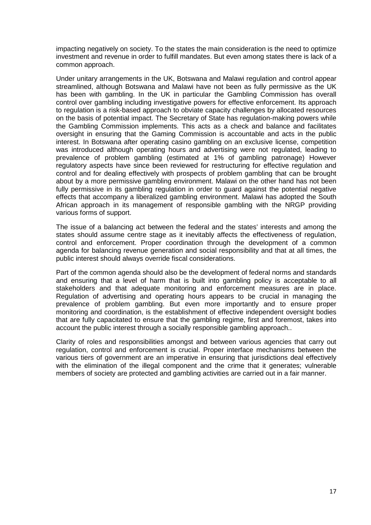impacting negatively on society. To the states the main consideration is the need to optimize investment and revenue in order to fulfill mandates. But even among states there is lack of a common approach.

Under unitary arrangements in the UK, Botswana and Malawi regulation and control appear streamlined, although Botswana and Malawi have not been as fully permissive as the UK has been with gambling. In the UK in particular the Gambling Commission has overall control over gambling including investigative powers for effective enforcement. Its approach to regulation is a risk-based approach to obviate capacity challenges by allocated resources on the basis of potential impact. The Secretary of State has regulation-making powers while the Gambling Commission implements. This acts as a check and balance and facilitates oversight in ensuring that the Gaming Commission is accountable and acts in the public interest. In Botswana after operating casino gambling on an exclusive license, competition was introduced although operating hours and advertising were not regulated, leading to prevalence of problem gambling (estimated at 1% of gambling patronage) However regulatory aspects have since been reviewed for restructuring for effective regulation and control and for dealing effectively with prospects of problem gambling that can be brought about by a more permissive gambling environment. Malawi on the other hand has not been fully permissive in its gambling regulation in order to guard against the potential negative effects that accompany a liberalized gambling environment. Malawi has adopted the South African approach in its management of responsible gambling with the NRGP providing various forms of support.

The issue of a balancing act between the federal and the states' interests and among the states should assume centre stage as it inevitably affects the effectiveness of regulation, control and enforcement. Proper coordination through the development of a common agenda for balancing revenue generation and social responsibility and that at all times, the public interest should always override fiscal considerations.

Part of the common agenda should also be the development of federal norms and standards and ensuring that a level of harm that is built into gambling policy is acceptable to all stakeholders and that adequate monitoring and enforcement measures are in place. Regulation of advertising and operating hours appears to be crucial in managing the prevalence of problem gambling. But even more importantly and to ensure proper monitoring and coordination, is the establishment of effective independent oversight bodies that are fully capacitated to ensure that the gambling regime, first and foremost, takes into account the public interest through a socially responsible gambling approach..

Clarity of roles and responsibilities amongst and between various agencies that carry out regulation, control and enforcement is crucial. Proper interface mechanisms between the various tiers of government are an imperative in ensuring that jurisdictions deal effectively with the elimination of the illegal component and the crime that it generates; vulnerable members of society are protected and gambling activities are carried out in a fair manner.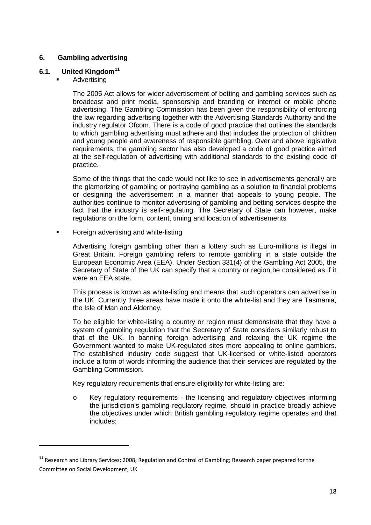# <span id="page-17-0"></span>**6. Gambling advertising**

# <span id="page-17-1"></span>**6.1. United Kingdom[11](#page-17-2)**

Advertising

<u>.</u>

The 2005 Act allows for wider advertisement of betting and gambling services such as broadcast and print media, sponsorship and branding or internet or mobile phone advertising. The Gambling Commission has been given the responsibility of enforcing the law regarding advertising together with the Advertising Standards Authority and the industry regulator Ofcom. There is a code of good practice that outlines the standards to which gambling advertising must adhere and that includes the protection of children and young people and awareness of responsible gambling. Over and above legislative requirements, the gambling sector has also developed a code of good practice aimed at the self-regulation of advertising with additional standards to the existing code of practice.

Some of the things that the code would not like to see in advertisements generally are the glamorizing of gambling or portraying gambling as a solution to financial problems or designing the advertisement in a manner that appeals to young people. The authorities continue to monitor advertising of gambling and betting services despite the fact that the industry is self-regulating. The Secretary of State can however, make regulations on the form, content, timing and location of advertisements

**Foreign advertising and white-listing** 

Advertising foreign gambling other than a lottery such as Euro-millions is illegal in Great Britain. Foreign gambling refers to remote gambling in a state outside the European Economic Area (EEA). Under Section 331(4) of the Gambling Act 2005, the Secretary of State of the UK can specify that a country or region be considered as if it were an EEA state.

This process is known as white-listing and means that such operators can advertise in the UK. Currently three areas have made it onto the white-list and they are Tasmania, the Isle of Man and Alderney.

To be eligible for white-listing a country or region must demonstrate that they have a system of gambling regulation that the Secretary of State considers similarly robust to that of the UK. In banning foreign advertising and relaxing the UK regime the Government wanted to make UK-regulated sites more appealing to online gamblers. The established industry code suggest that UK-licensed or white-listed operators include a form of words informing the audience that their services are regulated by the Gambling Commission.

Key regulatory requirements that ensure eligibility for white-listing are:

o Key regulatory requirements - the licensing and regulatory objectives informing the jurisdiction's gambling regulatory regime, should in practice broadly achieve the objectives under which British gambling regulatory regime operates and that includes:

<span id="page-17-2"></span><sup>&</sup>lt;sup>11</sup> Research and Library Services; 2008; Regulation and Control of Gambling; Research paper prepared for the Committee on Social Development, UK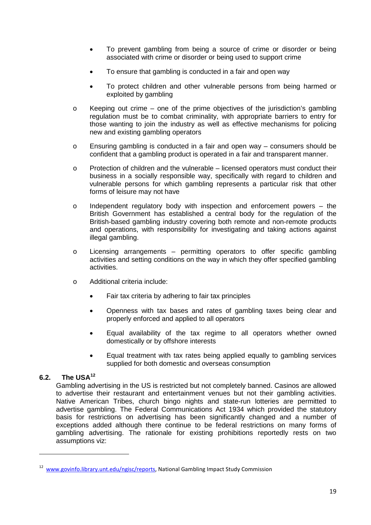- To prevent gambling from being a source of crime or disorder or being associated with crime or disorder or being used to support crime
- To ensure that gambling is conducted in a fair and open way
- To protect children and other vulnerable persons from being harmed or exploited by gambling
- $\circ$  Keeping out crime one of the prime objectives of the jurisdiction's gambling regulation must be to combat criminality, with appropriate barriers to entry for those wanting to join the industry as well as effective mechanisms for policing new and existing gambling operators
- o Ensuring gambling is conducted in a fair and open way consumers should be confident that a gambling product is operated in a fair and transparent manner.
- $\circ$  Protection of children and the vulnerable licensed operators must conduct their business in a socially responsible way, specifically with regard to children and vulnerable persons for which gambling represents a particular risk that other forms of leisure may not have
- $\circ$  Independent regulatory body with inspection and enforcement powers the British Government has established a central body for the regulation of the British-based gambling industry covering both remote and non-remote products and operations, with responsibility for investigating and taking actions against illegal gambling.
- o Licensing arrangements permitting operators to offer specific gambling activities and setting conditions on the way in which they offer specified gambling activities.
- o Additional criteria include:
	- Fair tax criteria by adhering to fair tax principles
	- Openness with tax bases and rates of gambling taxes being clear and properly enforced and applied to all operators
	- Equal availability of the tax regime to all operators whether owned domestically or by offshore interests
	- Equal treatment with tax rates being applied equally to gambling services supplied for both domestic and overseas consumption

# <span id="page-18-0"></span>**6.2. The USA[12](#page-18-1)**

<u>.</u>

Gambling advertising in the US is restricted but not completely banned. Casinos are allowed to advertise their restaurant and entertainment venues but not their gambling activities. Native American Tribes, church bingo nights and state-run lotteries are permitted to advertise gambling. The Federal Communications Act 1934 which provided the statutory basis for restrictions on advertising has been significantly changed and a number of exceptions added although there continue to be federal restrictions on many forms of gambling advertising. The rationale for existing prohibitions reportedly rests on two assumptions viz:

<span id="page-18-1"></span><sup>12</sup> [www.govinfo.library.unt.edu/ngisc/reports,](http://www.govinfo.library.unt.edu/ngisc/reports) National Gambling Impact Study Commission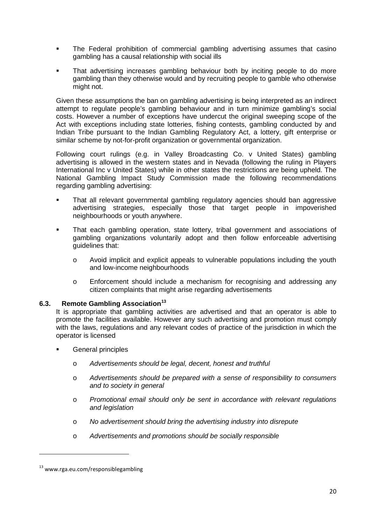- The Federal prohibition of commercial gambling advertising assumes that casino gambling has a causal relationship with social ills
- That advertising increases gambling behaviour both by inciting people to do more gambling than they otherwise would and by recruiting people to gamble who otherwise might not.

Given these assumptions the ban on gambling advertising is being interpreted as an indirect attempt to regulate people's gambling behaviour and in turn minimize gambling's social costs. However a number of exceptions have undercut the original sweeping scope of the Act with exceptions including state lotteries, fishing contests, gambling conducted by and Indian Tribe pursuant to the Indian Gambling Regulatory Act, a lottery, gift enterprise or similar scheme by not-for-profit organization or governmental organization.

Following court rulings (e.g. in Valley Broadcasting Co. v United States) gambling advertising is allowed in the western states and in Nevada (following the ruling in Players International Inc v United States) while in other states the restrictions are being upheld. The National Gambling Impact Study Commission made the following recommendations regarding gambling advertising:

- That all relevant governmental gambling regulatory agencies should ban aggressive advertising strategies, especially those that target people in impoverished neighbourhoods or youth anywhere.
- That each gambling operation, state lottery, tribal government and associations of gambling organizations voluntarily adopt and then follow enforceable advertising guidelines that:
	- o Avoid implicit and explicit appeals to vulnerable populations including the youth and low-income neighbourhoods
	- o Enforcement should include a mechanism for recognising and addressing any citizen complaints that might arise regarding advertisements

# <span id="page-19-0"></span>**6.3. Remote Gambling Association[13](#page-19-1)**

It is appropriate that gambling activities are advertised and that an operator is able to promote the facilities available. However any such advertising and promotion must comply with the laws, regulations and any relevant codes of practice of the jurisdiction in which the operator is licensed

- General principles
	- o *Advertisements should be legal, decent, honest and truthful*
	- o *Advertisements should be prepared with a sense of responsibility to consumers and to society in general*
	- o *Promotional email should only be sent in accordance with relevant regulations and legislation*
	- o *No advertisement should bring the advertising industry into disrepute*
	- o *Advertisements and promotions should be socially responsible*

<u>.</u>

<span id="page-19-1"></span><sup>13</sup> www.rga.eu.com/responsiblegambling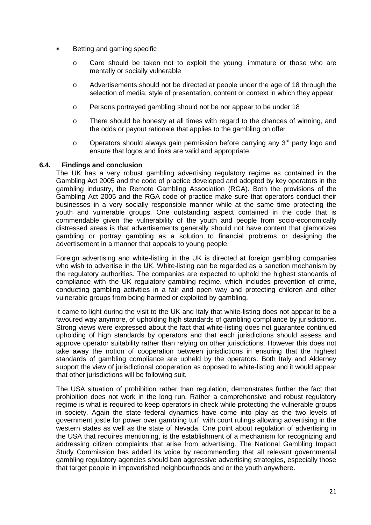- Betting and gaming specific
	- o Care should be taken not to exploit the young, immature or those who are mentally or socially vulnerable
	- o Advertisements should not be directed at people under the age of 18 through the selection of media, style of presentation, content or context in which they appear
	- o Persons portrayed gambling should not be nor appear to be under 18
	- o There should be honesty at all times with regard to the chances of winning, and the odds or payout rationale that applies to the gambling on offer
	- $\circ$  Operators should always gain permission before carrying any 3<sup>rd</sup> party logo and ensure that logos and links are valid and appropriate.

## <span id="page-20-0"></span>**6.4. Findings and conclusion**

The UK has a very robust gambling advertising regulatory regime as contained in the Gambling Act 2005 and the code of practice developed and adopted by key operators in the gambling industry, the Remote Gambling Association (RGA). Both the provisions of the Gambling Act 2005 and the RGA code of practice make sure that operators conduct their businesses in a very socially responsible manner while at the same time protecting the youth and vulnerable groups. One outstanding aspect contained in the code that is commendable given the vulnerability of the youth and people from socio-economically distressed areas is that advertisements generally should not have content that glamorizes gambling or portray gambling as a solution to financial problems or designing the advertisement in a manner that appeals to young people.

Foreign advertising and white-listing in the UK is directed at foreign gambling companies who wish to advertise in the UK. White-listing can be regarded as a sanction mechanism by the regulatory authorities. The companies are expected to uphold the highest standards of compliance with the UK regulatory gambling regime, which includes prevention of crime, conducting gambling activities in a fair and open way and protecting children and other vulnerable groups from being harmed or exploited by gambling.

It came to light during the visit to the UK and Italy that white-listing does not appear to be a favoured way anymore, of upholding high standards of gambling compliance by jurisdictions. Strong views were expressed about the fact that white-listing does not guarantee continued upholding of high standards by operators and that each jurisdictions should assess and approve operator suitability rather than relying on other jurisdictions. However this does not take away the notion of cooperation between jurisdictions in ensuring that the highest standards of gambling compliance are upheld by the operators. Both Italy and Alderney support the view of jurisdictional cooperation as opposed to white-listing and it would appear that other jurisdictions will be following suit.

The USA situation of prohibition rather than regulation, demonstrates further the fact that prohibition does not work in the long run. Rather a comprehensive and robust regulatory regime is what is required to keep operators in check while protecting the vulnerable groups in society. Again the state federal dynamics have come into play as the two levels of government jostle for power over gambling turf, with court rulings allowing advertising in the western states as well as the state of Nevada. One point about regulation of advertising in the USA that requires mentioning, is the establishment of a mechanism for recognizing and addressing citizen complaints that arise from advertising. The National Gambling Impact Study Commission has added its voice by recommending that all relevant governmental gambling regulatory agencies should ban aggressive advertising strategies, especially those that target people in impoverished neighbourhoods and or the youth anywhere.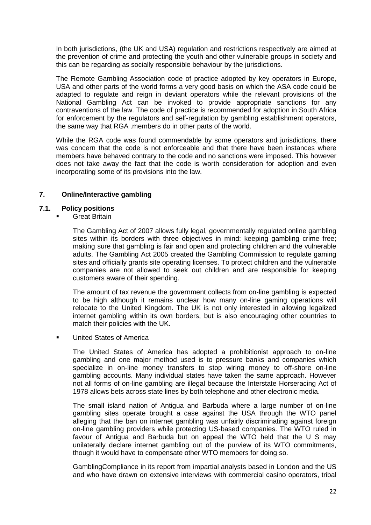In both jurisdictions, (the UK and USA) regulation and restrictions respectively are aimed at the prevention of crime and protecting the youth and other vulnerable groups in society and this can be regarding as socially responsible behaviour by the jurisdictions.

The Remote Gambling Association code of practice adopted by key operators in Europe, USA and other parts of the world forms a very good basis on which the ASA code could be adapted to regulate and reign in deviant operators while the relevant provisions of the National Gambling Act can be invoked to provide appropriate sanctions for any contraventions of the law. The code of practice is recommended for adoption in South Africa for enforcement by the regulators and self-regulation by gambling establishment operators, the same way that RGA .members do in other parts of the world.

While the RGA code was found commendable by some operators and jurisdictions, there was concern that the code is not enforceable and that there have been instances where members have behaved contrary to the code and no sanctions were imposed. This however does not take away the fact that the code is worth consideration for adoption and even incorporating some of its provisions into the law.

# <span id="page-21-0"></span>**7. Online/Interactive gambling**

#### <span id="page-21-1"></span>**7.1. Policy positions**

Great Britain

The Gambling Act of 2007 allows fully legal, governmentally regulated online gambling sites within its borders with three objectives in mind: keeping gambling crime free; making sure that gambling is fair and open and protecting children and the vulnerable adults. The Gambling Act 2005 created the Gambling Commission to regulate gaming sites and officially grants site operating licenses. To protect children and the vulnerable companies are not allowed to seek out children and are responsible for keeping customers aware of their spending.

The amount of tax revenue the government collects from on-line gambling is expected to be high although it remains unclear how many on-line gaming operations will relocate to the United Kingdom. The UK is not only interested in allowing legalized internet gambling within its own borders, but is also encouraging other countries to match their policies with the UK.

United States of America

The United States of America has adopted a prohibitionist approach to on-line gambling and one major method used is to pressure banks and companies which specialize in on-line money transfers to stop wiring money to off-shore on-line gambling accounts. Many individual states have taken the same approach. However not all forms of on-line gambling are illegal because the Interstate Horseracing Act of 1978 allows bets across state lines by both telephone and other electronic media.

The small island nation of Antigua and Barbuda where a large number of on-line gambling sites operate brought a case against the USA through the WTO panel alleging that the ban on internet gambling was unfairly discriminating against foreign on-line gambling providers while protecting US-based companies. The WTO ruled in favour of Antigua and Barbuda but on appeal the WTO held that the U S may unilaterally declare internet gambling out of the purview of its WTO commitments, though it would have to compensate other WTO members for doing so.

GamblingCompliance in its report from impartial analysts based in London and the US and who have drawn on extensive interviews with commercial casino operators, tribal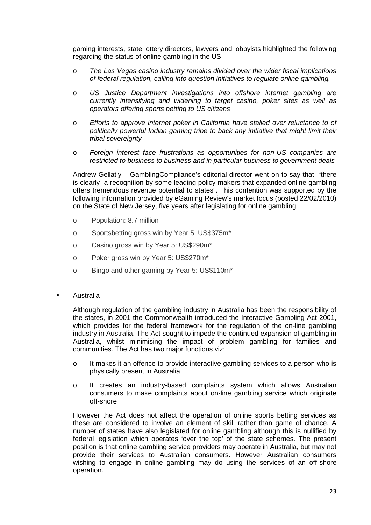gaming interests, state lottery directors, lawyers and lobbyists highlighted the following regarding the status of online gambling in the US:

- o *The Las Vegas casino industry remains divided over the wider fiscal implications of federal regulation, calling into question initiatives to regulate online gambling.*
- o *US Justice Department investigations into offshore internet gambling are currently intensifying and widening to target casino, poker sites as well as operators offering sports betting to US citizens*
- o *Efforts to approve internet poker in California have stalled over reluctance to of politically powerful Indian gaming tribe to back any initiative that might limit their tribal sovereignty*
- o *Foreign interest face frustrations as opportunities for non-US companies are restricted to business to business and in particular business to government deals*

Andrew Gellatly – GamblingCompliance's editorial director went on to say that: "there is clearly a recognition by some leading policy makers that expanded online gambling offers tremendous revenue potential to states". This contention was supported by the following information provided by eGaming Review's market focus (posted 22/02/2010) on the State of New Jersey, five years after legislating for online gambling

- o Population: 8.7 million
- o Sportsbetting gross win by Year 5: US\$375m\*
- o Casino gross win by Year 5: US\$290m\*
- o Poker gross win by Year 5: US\$270m\*
- o Bingo and other gaming by Year 5: US\$110m\*
- Australia

Although regulation of the gambling industry in Australia has been the responsibility of the states, in 2001 the Commonwealth introduced the Interactive Gambling Act 2001, which provides for the federal framework for the regulation of the on-line gambling industry in Australia. The Act sought to impede the continued expansion of gambling in Australia, whilst minimising the impact of problem gambling for families and communities. The Act has two major functions viz:

- o It makes it an offence to provide interactive gambling services to a person who is physically present in Australia
- o It creates an industry-based complaints system which allows Australian consumers to make complaints about on-line gambling service which originate off-shore

However the Act does not affect the operation of online sports betting services as these are considered to involve an element of skill rather than game of chance. A number of states have also legislated for online gambling although this is nullified by federal legislation which operates 'over the top' of the state schemes. The present position is that online gambling service providers may operate in Australia, but may not provide their services to Australian consumers. However Australian consumers wishing to engage in online gambling may do using the services of an off-shore operation.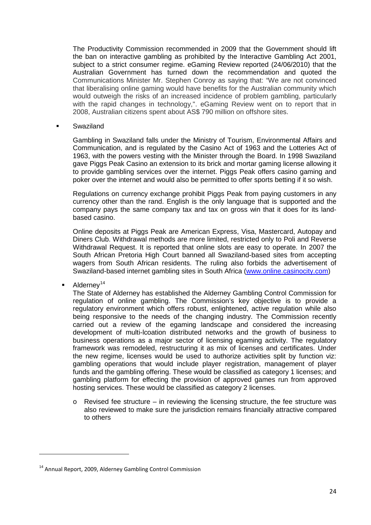The Productivity Commission recommended in 2009 that the Government should lift the ban on interactive gambling as prohibited by the Interactive Gambling Act 2001, subject to a strict consumer regime. eGaming Review reported (24/06/2010) that the Australian Government has turned down the recommendation and quoted the Communications Minister Mr. Stephen Conroy as saying that: "We are not convinced that liberalising online gaming would have benefits for the Australian community which would outweigh the risks of an increased incidence of problem gambling, particularly with the rapid changes in technology,". eGaming Review went on to report that in 2008, Australian citizens spent about AS\$ 790 million on offshore sites.

Swaziland

Gambling in Swaziland falls under the Ministry of Tourism, Environmental Affairs and Communication, and is regulated by the Casino Act of 1963 and the Lotteries Act of 1963, with the powers vesting with the Minister through the Board. In 1998 Swaziland gave Piggs Peak Casino an extension to its brick and mortar gaming license allowing it to provide gambling services over the internet. Piggs Peak offers casino gaming and poker over the internet and would also be permitted to offer sports betting if it so wish.

Regulations on currency exchange prohibit Piggs Peak from paying customers in any currency other than the rand. English is the only language that is supported and the company pays the same company tax and tax on gross win that it does for its landbased casino.

Online deposits at Piggs Peak are American Express, Visa, Mastercard, Autopay and Diners Club. Withdrawal methods are more limited, restricted only to Poli and Reverse Withdrawal Request. It is reported that online slots are easy to operate. In 2007 the South African Pretoria High Court banned all Swaziland-based sites from accepting wagers from South African residents. The ruling also forbids the advertisement of Swaziland-based internet gambling sites in South Africa [\(www.online.casinocity.com\)](http://www.online.casinocity.com/)

<span id="page-23-0"></span> $\blacksquare$  Alderney<sup>[14](#page-23-1)</sup>

<u>.</u>

The State of Alderney has established the Alderney Gambling Control Commission for regulation of online gambling. The Commission's key objective is to provide a regulatory environment which offers robust, enlightened, active regulation while also being responsive to the needs of the changing industry. The Commission recently carried out a review of the egaming landscape and considered the increasing development of multi-lcoation distributed networks and the growth of business to business operations as a major sector of licensing egaming activity. The regulatory framework was remodeled, restructuring it as mix of licenses and certificates. Under the new regime, licenses would be used to authorize activities split by function viz: gambling operations that would include player registration, management of player funds and the gambling offering. These would be classified as category 1 licenses; and gambling platform for effecting the provision of approved games run from approved hosting services. These would be classified as category 2 licenses.

 $\circ$  Revised fee structure – in reviewing the licensing structure, the fee structure was also reviewed to make sure the jurisdiction remains financially attractive compared to others

<span id="page-23-1"></span><sup>&</sup>lt;sup>14</sup> Annual Report, 2009, Alderney Gambling Control Commission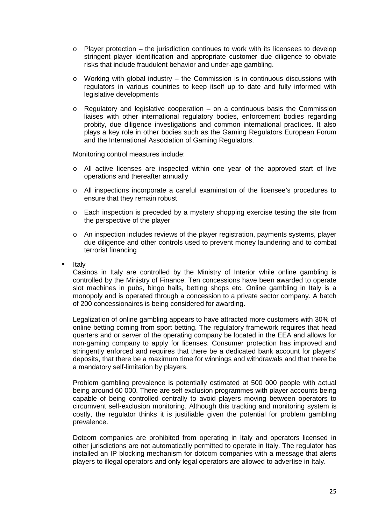- $\circ$  Player protection the jurisdiction continues to work with its licensees to develop stringent player identification and appropriate customer due diligence to obviate risks that include fraudulent behavior and under-age gambling.
- $\circ$  Working with global industry the Commission is in continuous discussions with regulators in various countries to keep itself up to date and fully informed with legislative developments
- o Regulatory and legislative cooperation on a continuous basis the Commission liaises with other international regulatory bodies, enforcement bodies regarding probity, due diligence investigations and common international practices. It also plays a key role in other bodies such as the Gaming Regulators European Forum and the International Association of Gaming Regulators.

Monitoring control measures include:

- o All active licenses are inspected within one year of the approved start of live operations and thereafter annually
- o All inspections incorporate a careful examination of the licensee's procedures to ensure that they remain robust
- o Each inspection is preceded by a mystery shopping exercise testing the site from the perspective of the player
- o An inspection includes reviews of the player registration, payments systems, player due diligence and other controls used to prevent money laundering and to combat terrorist financing
- Italy

Casinos in Italy are controlled by the Ministry of Interior while online gambling is controlled by the Ministry of Finance. Ten concessions have been awarded to operate slot machines in pubs, bingo halls, betting shops etc. Online gambling in Italy is a monopoly and is operated through a concession to a private sector company. A batch of 200 concessionaires is being considered for awarding.

Legalization of online gambling appears to have attracted more customers with 30% of online betting coming from sport betting. The regulatory framework requires that head quarters and or server of the operating company be located in the EEA and allows for non-gaming company to apply for licenses. Consumer protection has improved and stringently enforced and requires that there be a dedicated bank account for players' deposits, that there be a maximum time for winnings and withdrawals and that there be a mandatory self-limitation by players.

Problem gambling prevalence is potentially estimated at 500 000 people with actual being around 60 000. There are self exclusion programmes with player accounts being capable of being controlled centrally to avoid players moving between operators to circumvent self-exclusion monitoring. Although this tracking and monitoring system is costly, the regulator thinks it is justifiable given the potential for problem gambling prevalence.

Dotcom companies are prohibited from operating in Italy and operators licensed in other jurisdictions are not automatically permitted to operate in Italy. The regulator has installed an IP blocking mechanism for dotcom companies with a message that alerts players to illegal operators and only legal operators are allowed to advertise in Italy.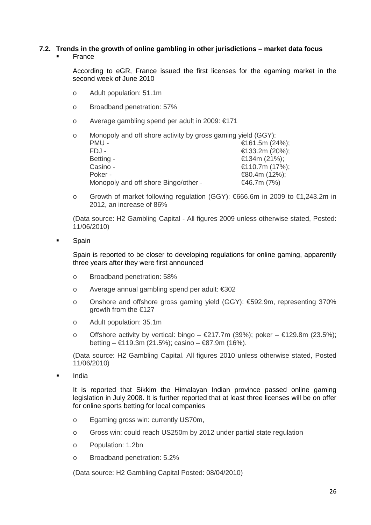# **7.2. Trends in the growth of online gambling in other jurisdictions – market data focus**

France

According to eGR, France issued the first licenses for the egaming market in the second week of June 2010

- o Adult population: 51.1m
- o Broadband penetration: 57%
- o Average gambling spend per adult in 2009: €171

| $\circ$ | Monopoly and off shore activity by gross gaming yield (GGY): |                 |
|---------|--------------------------------------------------------------|-----------------|
|         | PMU-                                                         | €161.5m (24%);  |
|         | $FDJ -$                                                      | €133.2m (20%);  |
|         | Betting -                                                    | €134m $(21%)$ ; |
|         | Casino -                                                     | €110.7m (17%);  |
|         | Poker -                                                      | $€80.4m(12%)$ ; |
|         | Monopoly and off shore Bingo/other -                         | €46.7m $(7%)$   |

o Growth of market following regulation (GGY): €666.6m in 2009 to €1,243.2m in 2012, an increase of 86%

(Data source: H2 Gambling Capital - All figures 2009 unless otherwise stated, Posted: 11/06/2010)

Spain

Spain is reported to be closer to developing regulations for online gaming, apparently three years after they were first announced

- o Broadband penetration: 58%
- o Average annual gambling spend per adult: €302
- o Onshore and offshore gross gaming yield (GGY): €592.9m, representing 370% growth from the €127
- o Adult population: 35.1m
- o Offshore activity by vertical: bingo  $\epsilon$ 217.7m (39%); poker  $\epsilon$ 129.8m (23.5%); betting – €119.3m (21.5%); casino – €87.9m (16%).

(Data source: H2 Gambling Capital. All figures 2010 unless otherwise stated, Posted 11/06/2010)

**India** 

It is reported that Sikkim the Himalayan Indian province passed online gaming legislation in July 2008. It is further reported that at least three licenses will be on offer for online sports betting for local companies

- o Egaming gross win: currently US70m,
- o Gross win: could reach US250m by 2012 under partial state regulation
- o Population: 1.2bn
- o Broadband penetration: 5.2%

(Data source: H2 Gambling Capital Posted: 08/04/2010)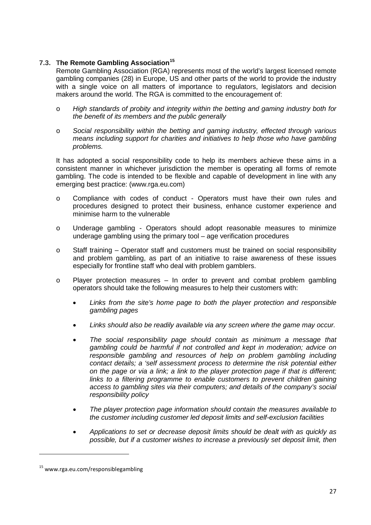# <span id="page-26-0"></span>**7.3. The Remote Gambling Association[15](#page-26-1)**

Remote Gambling Association (RGA) represents most of the world's largest licensed remote gambling companies (28) in Europe, US and other parts of the world to provide the industry with a single voice on all matters of importance to regulators, legislators and decision makers around the world. The RGA is committed to the encouragement of:

- o *High standards of probity and integrity within the betting and gaming industry both for the benefit of its members and the public generally*
- o *Social responsibility within the betting and gaming industry, effected through various means including support for charities and initiatives to help those who have gambling problems.*

It has adopted a social responsibility code to help its members achieve these aims in a consistent manner in whichever jurisdiction the member is operating all forms of remote gambling. The code is intended to be flexible and capable of development in line with any emerging best practice: (www.rga.eu.com)

- o Compliance with codes of conduct Operators must have their own rules and procedures designed to protect their business, enhance customer experience and minimise harm to the vulnerable
- o Underage gambling Operators should adopt reasonable measures to minimize underage gambling using the primary tool – age verification procedures
- $\circ$  Staff training Operator staff and customers must be trained on social responsibility and problem gambling, as part of an initiative to raise awareness of these issues especially for frontline staff who deal with problem gamblers.
- o Player protection measures In order to prevent and combat problem gambling operators should take the following measures to help their customers with:
	- *Links from the site's home page to both the player protection and responsible gambling pages*
	- *Links should also be readily available via any screen where the game may occur.*
	- *The social responsibility page should contain as minimum a message that gambling could be harmful if not controlled and kept in moderation; advice on*  responsible gambling and resources of help on problem gambling including *contact details; a 'self assessment process to determine the risk potential either on the page or via a link; a link to the player protection page if that is different; links to a filtering programme to enable customers to prevent children gaining access to gambling sites via their computers; and details of the company's social responsibility policy*
	- *The player protection page information should contain the measures available to the customer including customer led deposit limits and self-exclusion facilities*
	- *Applications to set or decrease deposit limits should be dealt with as quickly as possible, but if a customer wishes to increase a previously set deposit limit, then*

<u>.</u>

<span id="page-26-1"></span><sup>15</sup> www.rga.eu.com/responsiblegambling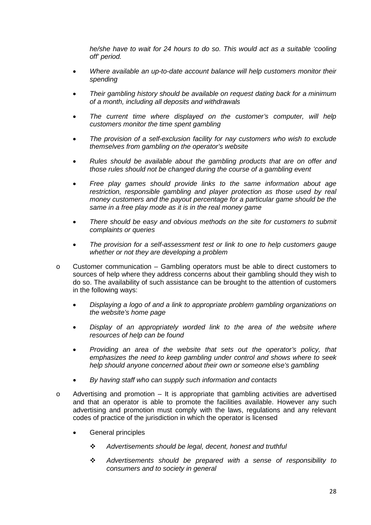*he/she have to wait for 24 hours to do so. This would act as a suitable 'cooling off' period.*

- *Where available an up-to-date account balance will help customers monitor their spending*
- *Their gambling history should be available on request dating back for a minimum of a month, including all deposits and withdrawals*
- *The current time where displayed on the customer's computer, will help customers monitor the time spent gambling*
- *The provision of a self-exclusion facility for nay customers who wish to exclude themselves from gambling on the operator's website*
- *Rules should be available about the gambling products that are on offer and those rules should not be changed during the course of a gambling event*
- *Free play games should provide links to the same information about age restriction, responsible gambling and player protection as those used by real money customers and the payout percentage for a particular game should be the same in a free play mode as it is in the real money game*
- *There should be easy and obvious methods on the site for customers to submit complaints or queries*
- *The provision for a self-assessment test or link to one to help customers gauge whether or not they are developing a problem*
- o Customer communication Gambling operators must be able to direct customers to sources of help where they address concerns about their gambling should they wish to do so. The availability of such assistance can be brought to the attention of customers in the following ways:
	- *Displaying a logo of and a link to appropriate problem gambling organizations on the website's home page*
	- *Display of an appropriately worded link to the area of the website where resources of help can be found*
	- *Providing an area of the website that sets out the operator's policy, that emphasizes the need to keep gambling under control and shows where to seek help should anyone concerned about their own or someone else's gambling*
	- *By having staff who can supply such information and contacts*
- o Advertising and promotion It is appropriate that gambling activities are advertised and that an operator is able to promote the facilities available. However any such advertising and promotion must comply with the laws, regulations and any relevant codes of practice of the jurisdiction in which the operator is licensed
	- General principles
		- *Advertisements should be legal, decent, honest and truthful*
		- *Advertisements should be prepared with a sense of responsibility to consumers and to society in general*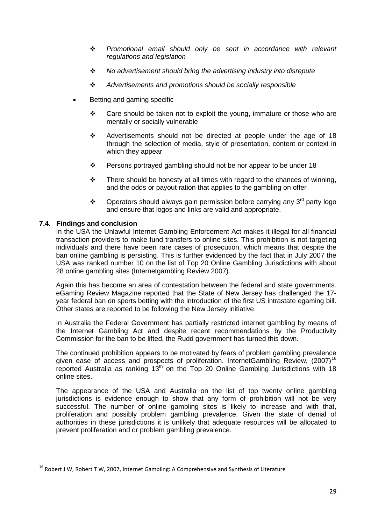- *Promotional email should only be sent in accordance with relevant regulations and legislation*
- *No advertisement should bring the advertising industry into disrepute*
- *Advertisements and promotions should be socially responsible*
- Betting and gaming specific
	- $\div$  Care should be taken not to exploit the voung, immature or those who are mentally or socially vulnerable
	- Advertisements should not be directed at people under the age of 18 through the selection of media, style of presentation, content or context in which they appear
	- $\cdot \cdot$  Persons portraved gambling should not be nor appear to be under 18
	- $\cdot \cdot$  There should be honesty at all times with regard to the chances of winning, and the odds or payout ration that applies to the gambling on offer
	- ❖ Operators should always gain permission before carrying any 3<sup>rd</sup> party logo and ensure that logos and links are valid and appropriate.

# <span id="page-28-0"></span>**7.4. Findings and conclusion**

<u>.</u>

In the USA the Unlawful Internet Gambling Enforcement Act makes it illegal for all financial transaction providers to make fund transfers to online sites. This prohibition is not targeting individuals and there have been rare cases of prosecution, which means that despite the ban online gambling is persisting. This is further evidenced by the fact that in July 2007 the USA was ranked number 10 on the list of Top 20 Online Gambling Jurisdictions with about 28 online gambling sites (Internetgambling Review 2007).

Again this has become an area of contestation between the federal and state governments. eGaming Review Magazine reported that the State of New Jersey has challenged the 17 year federal ban on sports betting with the introduction of the first US intrastate egaming bill. Other states are reported to be following the New Jersey initiative.

In Australia the Federal Government has partially restricted internet gambling by means of the Internet Gambling Act and despite recent recommendations by the Productivity Commission for the ban to be lifted, the Rudd government has turned this down.

The continued prohibition appears to be motivated by fears of problem gambling prevalence given ease of access and prospects of proliferation. InternetGambling Review, (2007)<sup>[16](#page-28-1)</sup> reported Australia as ranking  $13<sup>th</sup>$  on the Top 20 Online Gambling Jurisdictions with 18 online sites.

The appearance of the USA and Australia on the list of top twenty online gambling jurisdictions is evidence enough to show that any form of prohibition will not be very successful. The number of online gambling sites is likely to increase and with that, proliferation and possibly problem gambling prevalence. Given the state of denial of authorities in these jurisdictions it is unlikely that adequate resources will be allocated to prevent proliferation and or problem gambling prevalence.

<span id="page-28-1"></span> $16$  Robert J W, Robert T W, 2007, Internet Gambling: A Comprehensive and Synthesis of Literature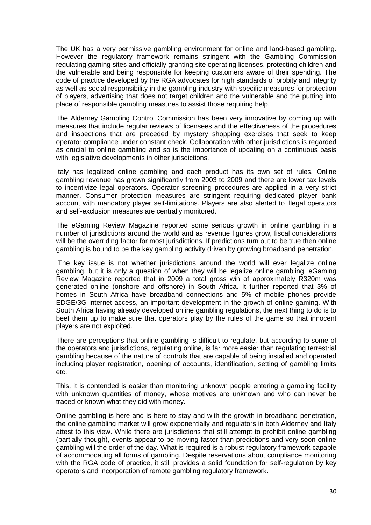The UK has a very permissive gambling environment for online and land-based gambling. However the regulatory framework remains stringent with the Gambling Commission regulating gaming sites and officially granting site operating licenses, protecting children and the vulnerable and being responsible for keeping customers aware of their spending. The code of practice developed by the RGA advocates for high standards of probity and integrity as well as social responsibility in the gambling industry with specific measures for protection of players, advertising that does not target children and the vulnerable and the putting into place of responsible gambling measures to assist those requiring help.

The Alderney Gambling Control Commission has been very innovative by coming up with measures that include regular reviews of licensees and the effectiveness of the procedures and inspections that are preceded by mystery shopping exercises that seek to keep operator compliance under constant check. Collaboration with other jurisdictions is regarded as crucial to online gambling and so is the importance of updating on a continuous basis with legislative developments in other jurisdictions.

Italy has legalized online gambling and each product has its own set of rules. Online gambling revenue has grown significantly from 2003 to 2009 and there are lower tax levels to incentivize legal operators. Operator screening procedures are applied in a very strict manner. Consumer protection measures are stringent requiring dedicated player bank account with mandatory player self-limitations. Players are also alerted to illegal operators and self-exclusion measures are centrally monitored.

The eGaming Review Magazine reported some serious growth in online gambling in a number of jurisdictions around the world and as revenue figures grow, fiscal considerations will be the overriding factor for most jurisdictions. If predictions turn out to be true then online gambling is bound to be the key gambling activity driven by growing broadband penetration.

The key issue is not whether jurisdictions around the world will ever legalize online gambling, but it is only a question of when they will be legalize online gambling. eGaming Review Magazine reported that in 2009 a total gross win of approximately R320m was generated online (onshore and offshore) in South Africa. It further reported that 3% of homes in South Africa have broadband connections and 5% of mobile phones provide EDGE/3G internet access, an important development in the growth of online gaming. With South Africa having already developed online gambling regulations, the next thing to do is to beef them up to make sure that operators play by the rules of the game so that innocent players are not exploited.

There are perceptions that online gambling is difficult to regulate, but according to some of the operators and jurisdictions, regulating online, is far more easier than regulating terrestrial gambling because of the nature of controls that are capable of being installed and operated including player registration, opening of accounts, identification, setting of gambling limits etc.

This, it is contended is easier than monitoring unknown people entering a gambling facility with unknown quantities of money, whose motives are unknown and who can never be traced or known what they did with money.

Online gambling is here and is here to stay and with the growth in broadband penetration, the online gambling market will grow exponentially and regulators in both Alderney and Italy attest to this view. While there are jurisdictions that still attempt to prohibit online gambling (partially though), events appear to be moving faster than predictions and very soon online gambling will the order of the day. What is required is a robust regulatory framework capable of accommodating all forms of gambling. Despite reservations about compliance monitoring with the RGA code of practice, it still provides a solid foundation for self-regulation by key operators and incorporation of remote gambling regulatory framework.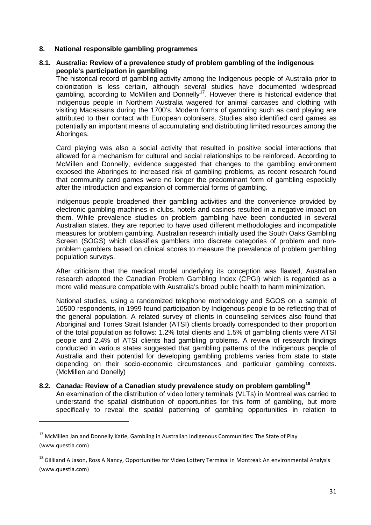## <span id="page-30-0"></span>**8. National responsible gambling programmes**

# <span id="page-30-1"></span>**8.1. Australia: Review of a prevalence study of problem gambling of the indigenous people's participation in gambling**

The historical record of gambling activity among the Indigenous people of Australia prior to colonization is less certain, although several studies have documented widespread gambling, according to McMillen and Donnelly<sup>[17](#page-30-3)</sup>. However there is historical evidence that Indigenous people in Northern Australia wagered for animal carcases and clothing with visiting Macassans during the 1700's. Modern forms of gambling such as card playing are attributed to their contact with European colonisers. Studies also identified card games as potentially an important means of accumulating and distributing limited resources among the Aboringes.

Card playing was also a social activity that resulted in positive social interactions that allowed for a mechanism for cultural and social relationships to be reinforced. According to McMillen and Donnelly, evidence suggested that changes to the gambling environment exposed the Aboringes to increased risk of gambling problems, as recent research found that community card games were no longer the predominant form of gambling especially after the introduction and expansion of commercial forms of gambling.

Indigenous people broadened their gambling activities and the convenience provided by electronic gambling machines in clubs, hotels and casinos resulted in a negative impact on them. While prevalence studies on problem gambling have been conducted in several Australian states, they are reported to have used different methodologies and incompatible measures for problem gambling. Australian research initially used the South Oaks Gambling Screen (SOGS) which classifies gamblers into discrete categories of problem and nonproblem gamblers based on clinical scores to measure the prevalence of problem gambling population surveys.

After criticism that the medical model underlying its conception was flawed, Australian research adopted the Canadian Problem Gambling Index (CPGI) which is regarded as a more valid measure compatible with Australia's broad public health to harm minimization.

National studies, using a randomized telephone methodology and SGOS on a sample of 10500 respondents, in 1999 found participation by Indigenous people to be reflecting that of the general population. A related survey of clients in counseling services also found that Aboriginal and Torres Strait Islander (ATSI) clients broadly corresponded to their proportion of the total population as follows: 1.2% total clients and 1.5% of gambling clients were ATSI people and 2.4% of ATSI clients had gambling problems. A review of research findings conducted in various states suggested that gambling patterns of the Indigenous people of Australia and their potential for developing gambling problems varies from state to state depending on their socio-economic circumstances and particular gambling contexts. (McMillen and Donelly)

<span id="page-30-2"></span>**8.2. Canada: Review of a Canadian study prevalence study on problem gambling[18](#page-30-4)** An examination of the distribution of video lottery terminals (VLTs) in Montreal was carried to understand the spatial distribution of opportunities for this form of gambling, but more specifically to reveal the spatial patterning of gambling opportunities in relation to

<u>.</u>

<span id="page-30-3"></span><sup>&</sup>lt;sup>17</sup> McMillen Jan and Donnelly Katie, Gambling in Australian Indigenous Communities: The State of Play (www.questia.com)

<span id="page-30-4"></span><sup>&</sup>lt;sup>18</sup> Gilliland A Jason, Ross A Nancy, Opportunities for Video Lottery Terminal in Montreal: An environmental Analysis (www.questia.com)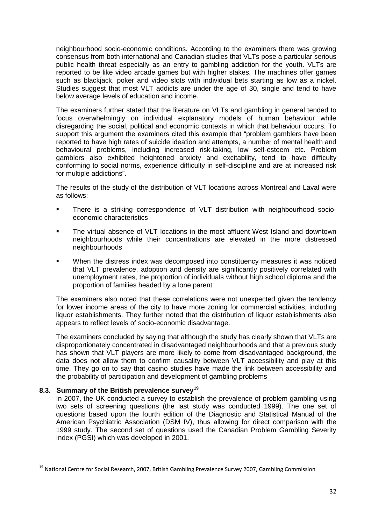neighbourhood socio-economic conditions. According to the examiners there was growing consensus from both international and Canadian studies that VLTs pose a particular serious public health threat especially as an entry to gambling addiction for the youth. VLTs are reported to be like video arcade games but with higher stakes. The machines offer games such as blackjack, poker and video slots with individual bets starting as low as a nickel. Studies suggest that most VLT addicts are under the age of 30, single and tend to have below average levels of education and income.

The examiners further stated that the literature on VLTs and gambling in general tended to focus overwhelmingly on individual explanatory models of human behaviour while disregarding the social, political and economic contexts in which that behaviour occurs. To support this argument the examiners cited this example that "problem gamblers have been reported to have high rates of suicide ideation and attempts, a number of mental health and behavioural problems, including increased risk-taking, low self-esteem etc. Problem gamblers also exhibited heightened anxiety and excitability, tend to have difficulty conforming to social norms, experience difficulty in self-discipline and are at increased risk for multiple addictions".

The results of the study of the distribution of VLT locations across Montreal and Laval were as follows:

- There is a striking correspondence of VLT distribution with neighbourhood socioeconomic characteristics
- The virtual absence of VLT locations in the most affluent West Island and downtown neighbourhoods while their concentrations are elevated in the more distressed neighbourhoods
- When the distress index was decomposed into constituency measures it was noticed that VLT prevalence, adoption and density are significantly positively correlated with unemployment rates, the proportion of individuals without high school diploma and the proportion of families headed by a lone parent

The examiners also noted that these correlations were not unexpected given the tendency for lower income areas of the city to have more zoning for commercial activities, including liquor establishments. They further noted that the distribution of liquor establishments also appears to reflect levels of socio-economic disadvantage.

The examiners concluded by saying that although the study has clearly shown that VLTs are disproportionately concentrated in disadvantaged neighbourhoods and that a previous study has shown that VLT players are more likely to come from disadvantaged background, the data does not allow them to confirm causality between VLT accessibility and play at this time. They go on to say that casino studies have made the link between accessibility and the probability of participation and development of gambling problems

# <span id="page-31-0"></span>**8.3. Summary of the British prevalence survey[19](#page-31-1)**

<u>.</u>

In 2007, the UK conducted a survey to establish the prevalence of problem gambling using two sets of screening questions (the last study was conducted 1999). The one set of questions based upon the fourth edition of the Diagnostic and Statistical Manual of the American Psychiatric Association (DSM IV), thus allowing for direct comparison with the 1999 study. The second set of questions used the Canadian Problem Gambling Severity Index (PGSI) which was developed in 2001.

<span id="page-31-1"></span><sup>&</sup>lt;sup>19</sup> National Centre for Social Research, 2007, British Gambling Prevalence Survey 2007, Gambling Commission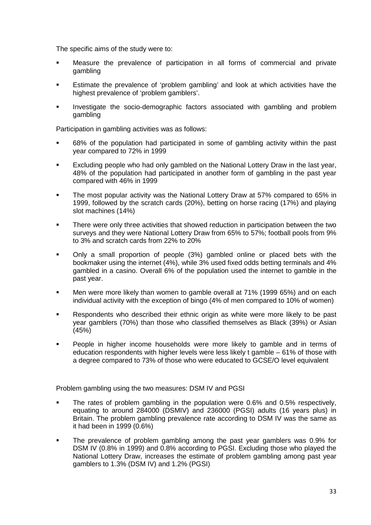The specific aims of the study were to:

- Measure the prevalence of participation in all forms of commercial and private gambling
- Estimate the prevalence of 'problem gambling' and look at which activities have the highest prevalence of 'problem gamblers'.
- Investigate the socio-demographic factors associated with gambling and problem gambling

Participation in gambling activities was as follows:

- 68% of the population had participated in some of gambling activity within the past year compared to 72% in 1999
- **Excluding people who had only gambled on the National Lottery Draw in the last year,** 48% of the population had participated in another form of gambling in the past year compared with 46% in 1999
- The most popular activity was the National Lottery Draw at 57% compared to 65% in 1999, followed by the scratch cards (20%), betting on horse racing (17%) and playing slot machines (14%)
- There were only three activities that showed reduction in participation between the two surveys and they were National Lottery Draw from 65% to 57%; football pools from 9% to 3% and scratch cards from 22% to 20%
- Only a small proportion of people (3%) gambled online or placed bets with the bookmaker using the internet (4%), while 3% used fixed odds betting terminals and 4% gambled in a casino. Overall 6% of the population used the internet to gamble in the past year.
- Men were more likely than women to gamble overall at 71% (1999 65%) and on each individual activity with the exception of bingo (4% of men compared to 10% of women)
- Respondents who described their ethnic origin as white were more likely to be past year gamblers (70%) than those who classified themselves as Black (39%) or Asian (45%)
- People in higher income households were more likely to gamble and in terms of education respondents with higher levels were less likely t gamble – 61% of those with a degree compared to 73% of those who were educated to GCSE/O level equivalent

Problem gambling using the two measures: DSM IV and PGSI

- The rates of problem gambling in the population were 0.6% and 0.5% respectively, equating to around 284000 (DSMIV) and 236000 (PGSI) adults (16 years plus) in Britain. The problem gambling prevalence rate according to DSM IV was the same as it had been in 1999 (0.6%)
- The prevalence of problem gambling among the past year gamblers was 0.9% for DSM IV (0.8% in 1999) and 0.8% according to PGSI. Excluding those who played the National Lottery Draw, increases the estimate of problem gambling among past year gamblers to 1.3% (DSM IV) and 1.2% (PGSI)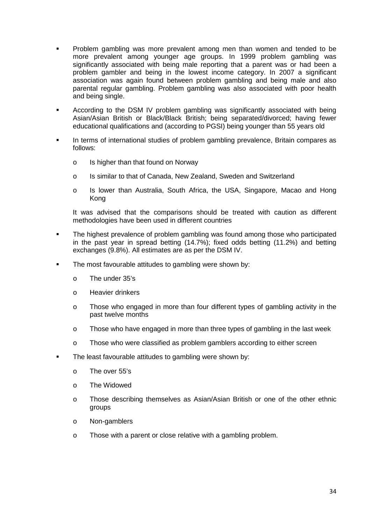- Problem gambling was more prevalent among men than women and tended to be more prevalent among younger age groups. In 1999 problem gambling was significantly associated with being male reporting that a parent was or had been a problem gambler and being in the lowest income category. In 2007 a significant association was again found between problem gambling and being male and also parental regular gambling. Problem gambling was also associated with poor health and being single.
- According to the DSM IV problem gambling was significantly associated with being Asian/Asian British or Black/Black British; being separated/divorced; having fewer educational qualifications and (according to PGSI) being younger than 55 years old
- In terms of international studies of problem gambling prevalence, Britain compares as follows:
	- o Is higher than that found on Norway
	- o Is similar to that of Canada, New Zealand, Sweden and Switzerland
	- o Is lower than Australia, South Africa, the USA, Singapore, Macao and Hong Kong

It was advised that the comparisons should be treated with caution as different methodologies have been used in different countries

- The highest prevalence of problem gambling was found among those who participated in the past year in spread betting (14.7%); fixed odds betting (11.2%) and betting exchanges (9.8%). All estimates are as per the DSM IV.
- The most favourable attitudes to gambling were shown by:
	- o The under 35's
	- o Heavier drinkers
	- o Those who engaged in more than four different types of gambling activity in the past twelve months
	- o Those who have engaged in more than three types of gambling in the last week
	- o Those who were classified as problem gamblers according to either screen
- <span id="page-33-0"></span> The least favourable attitudes to gambling were shown by:
	- o The over 55's
	- o The Widowed
	- o Those describing themselves as Asian/Asian British or one of the other ethnic groups
	- o Non-gamblers
	- o Those with a parent or close relative with a gambling problem.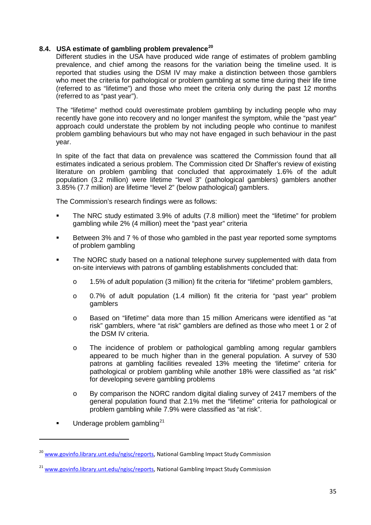# **8.4. USA estimate of gambling problem prevalence[20](#page-34-0)**

Different studies in the USA have produced wide range of estimates of problem gambling prevalence, and chief among the reasons for the variation being the timeline used. It is reported that studies using the DSM IV may make a distinction between those gamblers who meet the criteria for pathological or problem gambling at some time during their life time (referred to as "lifetime") and those who meet the criteria only during the past 12 months (referred to as "past year").

The "lifetime" method could overestimate problem gambling by including people who may recently have gone into recovery and no longer manifest the symptom, while the "past year" approach could understate the problem by not including people who continue to manifest problem gambling behaviours but who may not have engaged in such behaviour in the past year.

In spite of the fact that data on prevalence was scattered the Commission found that all estimates indicated a serious problem. The Commission cited Dr Shaffer's review of existing literature on problem gambling that concluded that approximately 1.6% of the adult population (3.2 million) were lifetime "level 3" (pathological gamblers) gamblers another 3.85% (7.7 million) are lifetime "level 2" (below pathological) gamblers.

The Commission's research findings were as follows:

- The NRC study estimated 3.9% of adults (7.8 million) meet the "lifetime" for problem gambling while 2% (4 million) meet the "past year" criteria
- Between 3% and 7 % of those who gambled in the past year reported some symptoms of problem gambling
- The NORC study based on a national telephone survey supplemented with data from on-site interviews with patrons of gambling establishments concluded that:
	- $\circ$  1.5% of adult population (3 million) fit the criteria for "lifetime" problem gamblers,
	- o 0.7% of adult population (1.4 million) fit the criteria for "past year" problem gamblers
	- o Based on "lifetime" data more than 15 million Americans were identified as "at risk" gamblers, where "at risk" gamblers are defined as those who meet 1 or 2 of the DSM IV criteria.
	- o The incidence of problem or pathological gambling among regular gamblers appeared to be much higher than in the general population. A survey of 530 patrons at gambling facilities revealed 13% meeting the 'lifetime" criteria for pathological or problem gambling while another 18% were classified as "at risk" for developing severe gambling problems
	- o By comparison the NORC random digital dialing survey of 2417 members of the general population found that 2.1% met the "lifetime" criteria for pathological or problem gambling while 7.9% were classified as "at risk".
- $\blacksquare$  Underage problem gambling<sup>[21](#page-34-1)</sup>

<u>.</u>

<span id="page-34-0"></span><sup>&</sup>lt;sup>20</sup> [www.govinfo.library.unt.edu/ngisc/reports,](http://www.govinfo.library.unt.edu/ngisc/reports) National Gambling Impact Study Commission

<span id="page-34-1"></span><sup>&</sup>lt;sup>21</sup> [www.govinfo.library.unt.edu/ngisc/reports,](http://www.govinfo.library.unt.edu/ngisc/reports) National Gambling Impact Study Commission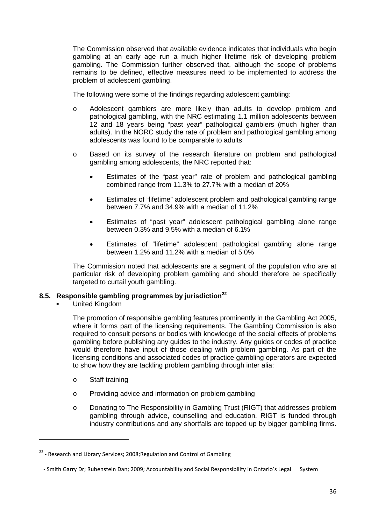The Commission observed that available evidence indicates that individuals who begin gambling at an early age run a much higher lifetime risk of developing problem gambling. The Commission further observed that, although the scope of problems remains to be defined, effective measures need to be implemented to address the problem of adolescent gambling.

The following were some of the findings regarding adolescent gambling:

- o Adolescent gamblers are more likely than adults to develop problem and pathological gambling, with the NRC estimating 1.1 million adolescents between 12 and 18 years being "past year" pathological gamblers (much higher than adults). In the NORC study the rate of problem and pathological gambling among adolescents was found to be comparable to adults
- o Based on its survey of the research literature on problem and pathological gambling among adolescents, the NRC reported that:
	- Estimates of the "past year" rate of problem and pathological gambling combined range from 11.3% to 27.7% with a median of 20%
	- Estimates of "lifetime" adolescent problem and pathological gambling range between 7.7% and 34.9% with a median of 11.2%
	- Estimates of "past year" adolescent pathological gambling alone range between 0.3% and 9.5% with a median of 6.1%
	- Estimates of "lifetime" adolescent pathological gambling alone range between 1.2% and 11.2% with a median of 5.0%

The Commission noted that adolescents are a segment of the population who are at particular risk of developing problem gambling and should therefore be specifically targeted to curtail youth gambling.

# <span id="page-35-0"></span>**8.5. Responsible gambling programmes by jurisdiction[22](#page-35-1)**

United Kingdom

The promotion of responsible gambling features prominently in the Gambling Act 2005, where it forms part of the licensing requirements. The Gambling Commission is also required to consult persons or bodies with knowledge of the social effects of problems gambling before publishing any guides to the industry. Any guides or codes of practice would therefore have input of those dealing with problem gambling. As part of the licensing conditions and associated codes of practice gambling operators are expected to show how they are tackling problem gambling through inter alia:

o Staff training

<u>.</u>

- o Providing advice and information on problem gambling
- o Donating to The Responsibility in Gambling Trust (RIGT) that addresses problem gambling through advice, counselling and education. RIGT is funded through industry contributions and any shortfalls are topped up by bigger gambling firms.

<span id="page-35-1"></span> $22$  - Research and Library Services; 2008; Regulation and Control of Gambling

 <sup>-</sup> Smith Garry Dr; Rubenstein Dan; 2009; Accountability and Social Responsibility in Ontario's Legal System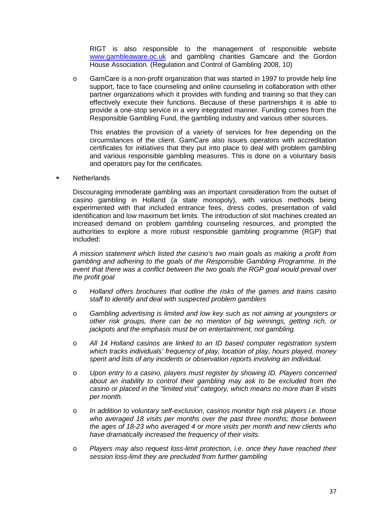RIGT is also responsible to the management of responsible website [www.gambleaware.oc.uk](http://www.gambleaware.oc.uk/) and gambling charities Gamcare and the Gordon House Association. (Regulation and Control of Gambling 2008, 10)

o GamCare is a non-profit organization that was started in 1997 to provide help line support, face to face counseling and online counseling in collaboration with other partner organizations which it provides with funding and training so that they can effectively execute their functions. Because of these partnerships it is able to provide a one-stop service in a very integrated manner. Funding comes from the Responsible Gambling Fund, the gambling industry and various other sources.

This enables the provision of a variety of services for free depending on the circumstances of the client. GamCare also issues operators with accreditation certificates for initiatives that they put into place to deal with problem gambling and various responsible gambling measures. This is done on a voluntary basis and operators pay for the certificates.

**Netherlands** 

Discouraging immoderate gambling was an important consideration from the outset of casino gambling in Holland (a state monopoly), with various methods being experimented with that included entrance fees, dress codes, presentation of valid identification and low maximum bet limits. The introduction of slot machines created an increased demand on problem gambling counseling resources, and prompted the authorities to explore a more robust responsible gambling programme (RGP) that included:

*A mission statement which listed the casino's two main goals as making a profit from gambling and adhering to the goals of the Responsible Gambling Programme. In the event that there was a conflict between the two goals the RGP goal would prevail over the profit goal*

- o *Holland offers brochures that outline the risks of the games and trains casino staff to identify and deal with suspected problem gamblers*
- o *Gambling advertising is limited and low key such as not aiming at youngsters or other risk groups, there can be no mention of big winnings, getting rich, or jackpots and the emphasis must be on entertainment, not gambling.*
- o *All 14 Holland casinos are linked to an ID based computer registration system which tracks individuals' frequency of play, location of play, hours played, money spent and lists of any incidents or observation reports involving an individual.*
- o *Upon entry to a casino, players must register by showing ID. Players concerned about an inability to control their gambling may ask to be excluded from the casino or placed in the "limited visit" category, which means no more than 8 visits per month.*
- o *In addition to voluntary self-exclusion, casinos monitor high risk players i.e. those who averaged 18 visits per months over the past three months; those between the ages of 18-23 who averaged 4 or more visits per month and new clients who have dramatically increased the frequency of their visits.*
- o *Players may also request loss-limit protection, i.e. once they have reached their session loss-limit they are precluded from further gambling*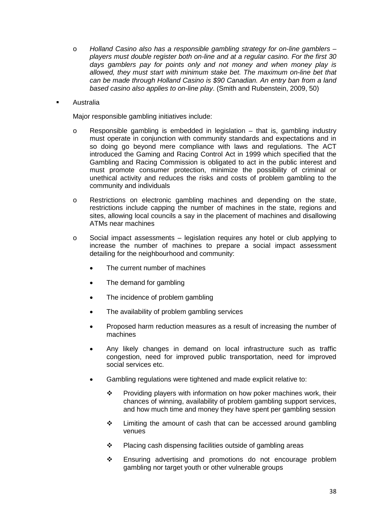- o *Holland Casino also has a responsible gambling strategy for on-line gamblers – players must double register both on-line and at a regular casino. For the first 30 days gamblers pay for points only and not money and when money play is allowed, they must start with minimum stake bet. The maximum on-line bet that can be made through Holland Casino is \$90 Canadian. An entry ban from a land based casino also applies to on-line play*. (Smith and Rubenstein, 2009, 50)
- Australia

Major responsible gambling initiatives include:

- o Responsible gambling is embedded in legislation that is, gambling industry must operate in conjunction with community standards and expectations and in so doing go beyond mere compliance with laws and regulations. The ACT introduced the Gaming and Racing Control Act in 1999 which specified that the Gambling and Racing Commission is obligated to act in the public interest and must promote consumer protection, minimize the possibility of criminal or unethical activity and reduces the risks and costs of problem gambling to the community and individuals
- o Restrictions on electronic gambling machines and depending on the state, restrictions include capping the number of machines in the state, regions and sites, allowing local councils a say in the placement of machines and disallowing ATMs near machines
- $\circ$  Social impact assessments legislation requires any hotel or club applying to increase the number of machines to prepare a social impact assessment detailing for the neighbourhood and community:
	- The current number of machines
	- The demand for gambling
	- The incidence of problem gambling
	- The availability of problem gambling services
	- Proposed harm reduction measures as a result of increasing the number of machines
	- Any likely changes in demand on local infrastructure such as traffic congestion, need for improved public transportation, need for improved social services etc.
	- Gambling regulations were tightened and made explicit relative to:
		- $\div$  Providing players with information on how poker machines work, their chances of winning, availability of problem gambling support services, and how much time and money they have spent per gambling session
		- $\div$  Limiting the amount of cash that can be accessed around gambling venues
		- ❖ Placing cash dispensing facilities outside of gambling areas
		- \* Ensuring advertising and promotions do not encourage problem gambling nor target youth or other vulnerable groups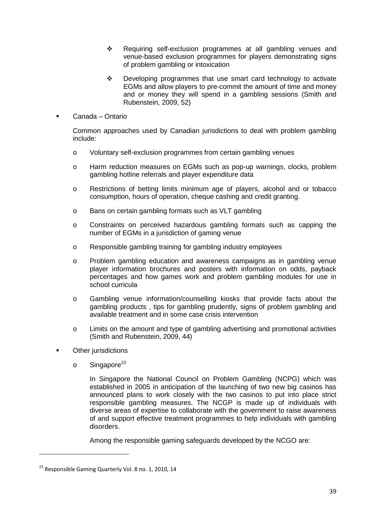- Requiring self-exclusion programmes at all gambling venues and venue-based exclusion programmes for players demonstrating signs of problem gambling or intoxication
- Developing programmes that use smart card technology to activate EGMs and allow players to pre-commit the amount of time and money and or money they will spend in a gambling sessions (Smith and Rubenstein, 2009, 52)
- Canada Ontario

Common approaches used by Canadian jurisdictions to deal with problem gambling include:

- o Voluntary self-exclusion programmes from certain gambling venues
- o Harm reduction measures on EGMs such as pop-up warnings, clocks, problem gambling hotline referrals and player expenditure data
- o Restrictions of betting limits minimum age of players, alcohol and or tobacco consumption, hours of operation, cheque cashing and credit granting.
- o Bans on certain gambling formats such as VLT gambling
- o Constraints on perceived hazardous gambling formats such as capping the number of EGMs in a jurisdiction of gaming venue
- o Responsible gambling training for gambling industry employees
- o Problem gambling education and awareness campaigns as in gambling venue player information brochures and posters with information on odds, payback percentages and how games work and problem gambling modules for use in school curricula
- o Gambling venue information/counselling kiosks that provide facts about the gambling products , tips for gambling prudently, signs of problem gambling and available treatment and in some case crisis intervention
- o Limits on the amount and type of gambling advertising and promotional activities (Smith and Rubenstein, 2009, 44)
- Other jurisdictions
	- $\circ$  Singapore<sup>[23](#page-38-0)</sup>

In Singapore the National Council on Problem Gambling (NCPG) which was established in 2005 in anticipation of the launching of two new big casinos has announced plans to work closely with the two casinos to put into place strict responsible gambling measures. The NCGP is made up of individuals with diverse areas of expertise to collaborate with the government to raise awareness of and support effective treatment programmes to help individuals with gambling disorders.

Among the responsible gaming safeguards developed by the NCGO are:

<u>.</u>

<span id="page-38-0"></span> $^{23}$  Responsible Gaming Quarterly Vol. 8 no. 1, 2010, 14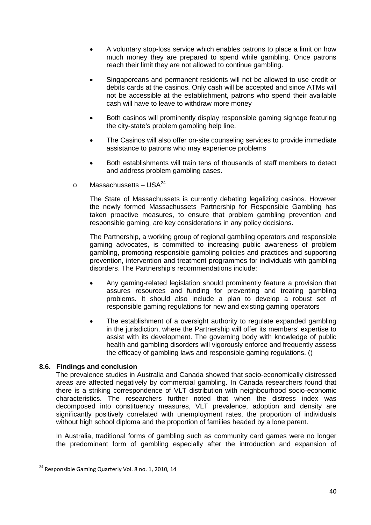- A voluntary stop-loss service which enables patrons to place a limit on how much money they are prepared to spend while gambling. Once patrons reach their limit they are not allowed to continue gambling.
- Singaporeans and permanent residents will not be allowed to use credit or debits cards at the casinos. Only cash will be accepted and since ATMs will not be accessible at the establishment, patrons who spend their available cash will have to leave to withdraw more money
- Both casinos will prominently display responsible gaming signage featuring the city-state's problem gambling help line.
- The Casinos will also offer on-site counseling services to provide immediate assistance to patrons who may experience problems
- Both establishments will train tens of thousands of staff members to detect and address problem gambling cases.
- o Massachussetts USA $^{24}$  $^{24}$  $^{24}$

The State of Massachussets is currently debating legalizing casinos. However the newly formed Massachussets Partnership for Responsible Gambling has taken proactive measures, to ensure that problem gambling prevention and responsible gaming, are key considerations in any policy decisions.

The Partnership, a working group of regional gambling operators and responsible gaming advocates, is committed to increasing public awareness of problem gambling, promoting responsible gambling policies and practices and supporting prevention, intervention and treatment programmes for individuals with gambling disorders. The Partnership's recommendations include:

- Any gaming-related legislation should prominently feature a provision that assures resources and funding for preventing and treating gambling problems. It should also include a plan to develop a robust set of responsible gaming regulations for new and existing gaming operators
- The establishment of a oversight authority to regulate expanded gambling in the jurisdiction, where the Partnership will offer its members' expertise to assist with its development. The governing body with knowledge of public health and gambling disorders will vigorously enforce and frequently assess the efficacy of gambling laws and responsible gaming regulations. ()

# <span id="page-39-0"></span>**8.6. Findings and conclusion**

<u>.</u>

The prevalence studies in Australia and Canada showed that socio-economically distressed areas are affected negatively by commercial gambling. In Canada researchers found that there is a striking correspondence of VLT distribution with neighbourhood socio-economic characteristics. The researchers further noted that when the distress index was decomposed into constituency measures, VLT prevalence, adoption and density are significantly positively correlated with unemployment rates, the proportion of individuals without high school diploma and the proportion of families headed by a lone parent.

In Australia, traditional forms of gambling such as community card games were no longer the predominant form of gambling especially after the introduction and expansion of

<span id="page-39-1"></span><sup>&</sup>lt;sup>24</sup> Responsible Gaming Quarterly Vol. 8 no. 1, 2010, 14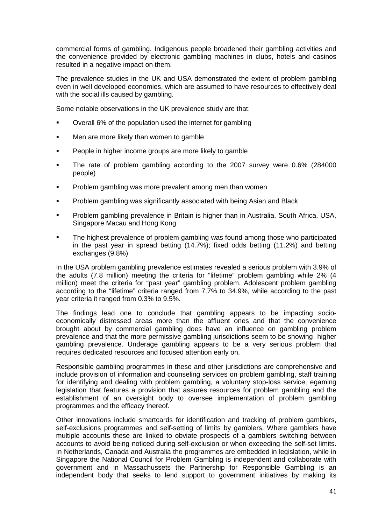commercial forms of gambling. Indigenous people broadened their gambling activities and the convenience provided by electronic gambling machines in clubs, hotels and casinos resulted in a negative impact on them.

The prevalence studies in the UK and USA demonstrated the extent of problem gambling even in well developed economies, which are assumed to have resources to effectively deal with the social ills caused by gambling.

Some notable observations in the UK prevalence study are that:

- Overall 6% of the population used the internet for gambling
- Men are more likely than women to gamble
- People in higher income groups are more likely to gamble
- The rate of problem gambling according to the 2007 survey were 0.6% (284000 people)
- **Problem gambling was more prevalent among men than women**
- Problem gambling was significantly associated with being Asian and Black
- Problem gambling prevalence in Britain is higher than in Australia, South Africa, USA, Singapore Macau and Hong Kong
- The highest prevalence of problem gambling was found among those who participated in the past year in spread betting (14.7%); fixed odds betting (11.2%) and betting exchanges (9.8%)

In the USA problem gambling prevalence estimates revealed a serious problem with 3.9% of the adults (7.8 million) meeting the criteria for "lifetime" problem gambling while 2% (4 million) meet the criteria for "past year" gambling problem. Adolescent problem gambling according to the "lifetime" criteria ranged from 7.7% to 34.9%, while according to the past year criteria it ranged from 0.3% to 9.5%.

The findings lead one to conclude that gambling appears to be impacting socioeconomically distressed areas more than the affluent ones and that the convenience brought about by commercial gambling does have an influence on gambling problem prevalence and that the more permissive gambling jurisdictions seem to be showing higher gambling prevalence. Underage gambling appears to be a very serious problem that requires dedicated resources and focused attention early on.

Responsible gambling programmes in these and other jurisdictions are comprehensive and include provision of information and counseling services on problem gambling, staff training for identifying and dealing with problem gambling, a voluntary stop-loss service, egaming legislation that features a provision that assures resources for problem gambling and the establishment of an oversight body to oversee implementation of problem gambling programmes and the efficacy thereof.

Other innovations include smartcards for identification and tracking of problem gamblers, self-exclusions programmes and self-setting of limits by gamblers. Where gamblers have multiple accounts these are linked to obviate prospects of a gamblers switching between accounts to avoid being noticed during self-exclusion or when exceeding the self-set limits. In Netherlands, Canada and Australia the programmes are embedded in legislation, while in Singapore the National Council for Problem Gambling is independent and collaborate with government and in Massachussets the Partnership for Responsible Gambling is an independent body that seeks to lend support to government initiatives by making its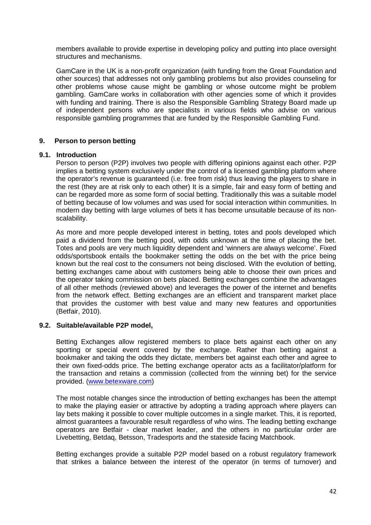members available to provide expertise in developing policy and putting into place oversight structures and mechanisms.

GamCare in the UK is a non-profit organization (with funding from the Great Foundation and other sources) that addresses not only gambling problems but also provides counseling for other problems whose cause might be gambling or whose outcome might be problem gambling. GamCare works in collaboration with other agencies some of which it provides with funding and training. There is also the Responsible Gambling Strategy Board made up of independent persons who are specialists in various fields who advise on various responsible gambling programmes that are funded by the Responsible Gambling Fund.

## <span id="page-41-0"></span>**9. Person to person betting**

# <span id="page-41-1"></span>**9.1. Introduction**

Person to person (P2P) involves two people with differing opinions against each other. P2P implies a betting system exclusively under the control of a licensed gambling platform where the operator's revenue is guaranteed (i.e. free from risk) thus leaving the players to share in the rest (they are at risk only to each other) It is a simple, fair and easy form of betting and can be regarded more as some form of social betting. Traditionally this was a suitable model of betting because of low volumes and was used for social interaction within communities. In modern day betting with large volumes of bets it has become unsuitable because of its nonscalability.

As more and more people developed interest in betting, totes and pools developed which paid a dividend from the betting pool, with odds unknown at the time of placing the bet. Totes and pools are very much liquidity dependent and 'winners are always welcome'. Fixed odds/sportsbook entails the bookmaker setting the odds on the bet with the price being known but the real cost to the consumers not being disclosed. With the evolution of betting, betting exchanges came about with customers being able to choose their own prices and the operator taking commission on bets placed. Betting exchanges combine the advantages of all other methods (reviewed above) and leverages the power of the internet and benefits from the network effect. Betting exchanges are an efficient and transparent market place that provides the customer with best value and many new features and opportunities (Betfair, 2010).

#### <span id="page-41-2"></span>**9.2. Suitable/available P2P model,**

Betting Exchanges allow registered members to place bets against each other on any sporting or special event covered by the exchange. Rather than betting against a bookmaker and taking the odds they dictate, members bet against each other and agree to their own fixed-odds price. The betting exchange operator acts as a facilitator/platform for the transaction and retains a commission (collected from the winning bet) for the service provided. [\(www.betexware.com\)](http://www.betexware.com/)

The most notable changes since the introduction of betting exchanges has been the attempt to make the playing easier or attractive by adopting a trading approach where players can lay bets making it possible to cover multiple outcomes in a single market. This, it is reported, almost guarantees a favourable result regardless of who wins. The leading betting exchange operators are Betfair - clear market leader, and the others in no particular order are Livebetting, Betdaq, Betsson, Tradesports and the stateside facing Matchbook.

Betting exchanges provide a suitable P2P model based on a robust regulatory framework that strikes a balance between the interest of the operator (in terms of turnover) and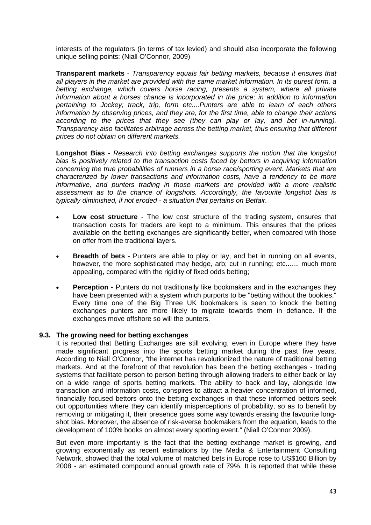interests of the regulators (in terms of tax levied) and should also incorporate the following unique selling points: (Niall O'Connor, 2009)

**Transparent markets** - *Transparency equals fair betting markets, because it ensures that all players in the market are provided with the same market information. In its purest form, a*  betting exchange, which covers horse racing, presents a system, where all private *information about a horses chance is incorporated in the price; in addition to information pertaining to Jockey; track, trip, form etc....Punters are able to learn of each others information by observing prices, and they are, for the first time, able to change their actions according to the prices that they see (they can play or lay, and bet in-running). Transparency also facilitates arbitrage across the betting market, thus ensuring that different prices do not obtain on different markets.*

**Longshot Bias** - *Research into betting exchanges supports the notion that the longshot bias is positively related to the transaction costs faced by bettors in acquiring information concerning the true probabilities of runners in a horse race/sporting event. Markets that are characterized by lower transactions and information costs, have a tendency to be more informative, and punters trading in those markets are provided with a more realistic assessment as to the chance of longshots. Accordingly, the favourite longshot bias is typically diminished, if not eroded - a situation that pertains on Betfair.*

- **Low cost structure** The low cost structure of the trading system, ensures that transaction costs for traders are kept to a minimum. This ensures that the prices available on the betting exchanges are significantly better, when compared with those on offer from the traditional layers.
- **Breadth of bets**  Punters are able to play or lay, and bet in running on all events, however, the more sophisticated may hedge, arb; cut in running; etc....... much more appealing, compared with the rigidity of fixed odds betting;
- **Perception** Punters do not traditionally like bookmakers and in the exchanges they have been presented with a system which purports to be "betting without the bookies." Every time one of the Big Three UK bookmakers is seen to knock the betting exchanges punters are more likely to migrate towards them in defiance. If the exchanges move offshore so will the punters.

# <span id="page-42-0"></span>**9.3. The growing need for betting exchanges**

It is reported that Betting Exchanges are still evolving, even in Europe where they have made significant progress into the sports betting market during the past five years. According to Niall O'Connor, "the internet has revolutionized the nature of traditional betting markets. And at the forefront of that revolution has been the betting exchanges - trading systems that facilitate person to person betting through allowing traders to either back or lay on a wide range of sports betting markets. The ability to back and lay, alongside low transaction and information costs, conspires to attract a heavier concentration of informed, financially focused bettors onto the betting exchanges in that these informed bettors seek out opportunities where they can identify misperceptions of probability, so as to benefit by removing or mitigating it, their presence goes some way towards erasing the favourite longshot bias. Moreover, the absence of risk-averse bookmakers from the equation, leads to the development of 100% books on almost every sporting event." (Niall O'Connor 2009).

But even more importantly is the fact that the betting exchange market is growing, and growing exponentially as recent estimations by the Media & Entertainment Consulting Network, showed that the total volume of matched bets in Europe rose to US\$160 Billion by 2008 - an estimated compound annual growth rate of 79%. It is reported that while these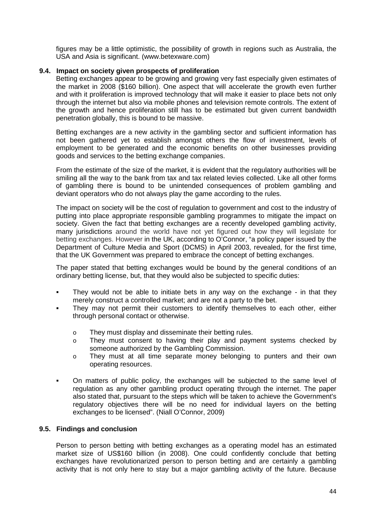figures may be a little optimistic, the possibility of growth in regions such as Australia, the USA and Asia is significant. (www.betexware.com)

# <span id="page-43-0"></span>**9.4. Impact on society given prospects of proliferation**

Betting exchanges appear to be growing and growing very fast especially given estimates of the market in 2008 (\$160 billion). One aspect that will accelerate the growth even further and with it proliferation is improved technology that will make it easier to place bets not only through the internet but also via mobile phones and television remote controls. The extent of the growth and hence proliferation still has to be estimated but given current bandwidth penetration globally, this is bound to be massive.

Betting exchanges are a new activity in the gambling sector and sufficient information has not been gathered yet to establish amongst others the flow of investment, levels of employment to be generated and the economic benefits on other businesses providing goods and services to the betting exchange companies.

From the estimate of the size of the market, it is evident that the regulatory authorities will be smiling all the way to the bank from tax and tax related levies collected. Like all other forms of gambling there is bound to be unintended consequences of problem gambling and deviant operators who do not always play the game according to the rules.

The impact on society will be the cost of regulation to government and cost to the industry of putting into place appropriate responsible gambling programmes to mitigate the impact on society. Given the fact that betting exchanges are a recently developed gambling activity, many jurisdictions around the world have not yet figured out how they will legislate for betting exchanges. However in the UK, according to O'Connor, "a policy paper issued by the Department of Culture Media and Sport (DCMS) in April 2003, revealed, for the first time, that the UK Government was prepared to embrace the concept of betting exchanges.

The paper stated that betting exchanges would be bound by the general conditions of an ordinary betting license, but, that they would also be subjected to specific duties:

- They would not be able to initiate bets in any way on the exchange in that they merely construct a controlled market; and are not a party to the bet.
- They may not permit their customers to identify themselves to each other, either through personal contact or otherwise.
	- o They must display and disseminate their betting rules.
	- o They must consent to having their play and payment systems checked by someone authorized by the Gambling Commission.
	- o They must at all time separate money belonging to punters and their own operating resources.
- On matters of public policy, the exchanges will be subjected to the same level of regulation as any other gambling product operating through the internet. The paper also stated that, pursuant to the steps which will be taken to achieve the Government's regulatory objectives there will be no need for individual layers on the betting exchanges to be licensed". (Niall O'Connor, 2009)

# <span id="page-43-1"></span>**9.5. Findings and conclusion**

Person to person betting with betting exchanges as a operating model has an estimated market size of US\$160 billion (in 2008). One could confidently conclude that betting exchanges have revolutionarized person to person betting and are certainly a gambling activity that is not only here to stay but a major gambling activity of the future. Because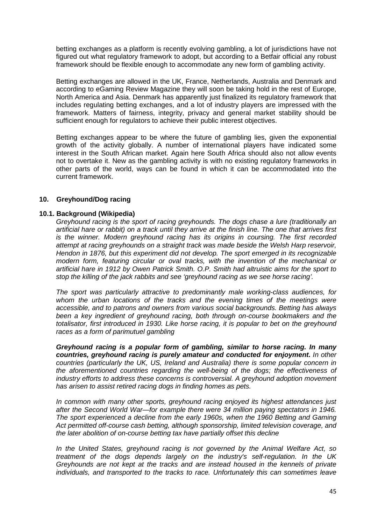betting exchanges as a platform is recently evolving gambling, a lot of jurisdictions have not figured out what regulatory framework to adopt, but according to a Betfair official any robust framework should be flexible enough to accommodate any new form of gambling activity.

Betting exchanges are allowed in the UK, France, Netherlands, Australia and Denmark and according to eGaming Review Magazine they will soon be taking hold in the rest of Europe, North America and Asia. Denmark has apparently just finalized its regulatory framework that includes regulating betting exchanges, and a lot of industry players are impressed with the framework. Matters of fairness, integrity, privacy and general market stability should be sufficient enough for regulators to achieve their public interest objectives.

Betting exchanges appear to be where the future of gambling lies, given the exponential growth of the activity globally. A number of international players have indicated some interest in the South African market. Again here South Africa should also not allow events not to overtake it. New as the gambling activity is with no existing regulatory frameworks in other parts of the world, ways can be found in which it can be accommodated into the current framework.

## <span id="page-44-0"></span>**10. Greyhound/Dog racing**

## <span id="page-44-1"></span>**10.1. Background (Wikipedia)**

*Greyhound racing is the sport of racing greyhounds. The dogs chase a lure (traditionally an artificial hare or rabbit) on a track until they arrive at the finish line. The one that arrives first is the winner. Modern greyhound racing has its origins in coursing. The first recorded attempt at racing greyhounds on a straight track was made beside the Welsh Harp reservoir, Hendon in 1876, but this experiment did not develop. The sport emerged in its recognizable modern form, featuring circular or oval tracks, with the invention of the mechanical or artificial hare in 1912 by Owen Patrick Smith. O.P. Smith had altruistic aims for the sport to stop the killing of the jack rabbits and see 'greyhound racing as we see horse racing'.* 

*The sport was particularly attractive to predominantly male working-class audiences, for whom the urban locations of the tracks and the evening times of the meetings were accessible, and to patrons and owners from various social backgrounds. Betting has always been a key ingredient of greyhound racing, both through on-course bookmakers and the totalisator, first introduced in 1930. Like horse racing, it is popular to bet on the greyhound races as a form of parimutuel gambling*

*Greyhound racing is a popular form of gambling, similar to horse racing. In many countries, greyhound racing is purely amateur and conducted for enjoyment. In other countries (particularly the UK, US, Ireland and Australia) there is some popular concern in the aforementioned countries regarding the well-being of the dogs; the effectiveness of industry efforts to address these concerns is controversial. A greyhound adoption movement has arisen to assist retired racing dogs in finding homes as pets.*

*In common with many other sports, greyhound racing enjoyed its highest attendances just after the Second World War—for example there were 34 million paying spectators in 1946. The sport experienced a decline from the early 1960s, when the 1960 Betting and Gaming Act permitted off-course cash betting, although sponsorship, limited television coverage, and the later abolition of on-course betting tax have partially offset this decline*

*In the United States, greyhound racing is not governed by the Animal Welfare Act, so treatment of the dogs depends largely on the industry's self-regulation. In the UK Greyhounds are not kept at the tracks and are instead housed in the kennels of private individuals, and transported to the tracks to race. Unfortunately this can sometimes leave*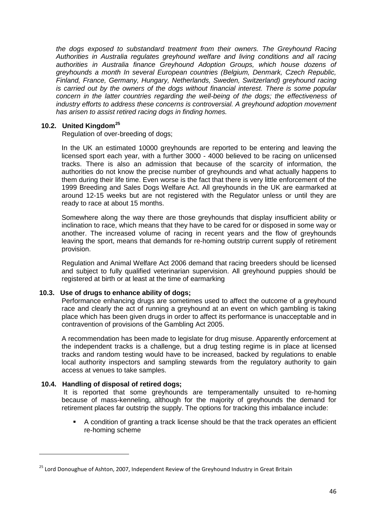*the dogs exposed to substandard treatment from their owners. The Greyhound Racing Authorities in Australia regulates greyhound welfare and living conditions and all racing authorities in Australia finance Greyhound Adoption Groups, which house dozens of greyhounds a month In several European countries (Belgium, Denmark, Czech Republic, Finland, France, Germany, Hungary, Netherlands, Sweden, Switzerland) greyhound racing is carried out by the owners of the dogs without financial interest. There is some popular concern in the latter countries regarding the well-being of the dogs; the effectiveness of industry efforts to address these concerns is controversial. A greyhound adoption movement has arisen to assist retired racing dogs in finding homes.* 

# <span id="page-45-0"></span>**10.2. United Kingdom[25](#page-45-3)**

Regulation of over-breeding of dogs;

In the UK an estimated 10000 greyhounds are reported to be entering and leaving the licensed sport each year, with a further 3000 - 4000 believed to be racing on unlicensed tracks. There is also an admission that because of the scarcity of information, the authorities do not know the precise number of greyhounds and what actually happens to them during their life time. Even worse is the fact that there is very little enforcement of the 1999 Breeding and Sales Dogs Welfare Act. All greyhounds in the UK are earmarked at around 12-15 weeks but are not registered with the Regulator unless or until they are ready to race at about 15 months.

Somewhere along the way there are those greyhounds that display insufficient ability or inclination to race, which means that they have to be cared for or disposed in some way or another. The increased volume of racing in recent years and the flow of greyhounds leaving the sport, means that demands for re-homing outstrip current supply of retirement provision.

Regulation and Animal Welfare Act 2006 demand that racing breeders should be licensed and subject to fully qualified veterinarian supervision. All greyhound puppies should be registered at birth or at least at the time of earmarking

# <span id="page-45-1"></span>**10.3. Use of drugs to enhance ability of dogs;**

Performance enhancing drugs are sometimes used to affect the outcome of a greyhound race and clearly the act of running a greyhound at an event on which gambling is taking place which has been given drugs in order to affect its performance is unacceptable and in contravention of provisions of the Gambling Act 2005.

A recommendation has been made to legislate for drug misuse. Apparently enforcement at the independent tracks is a challenge, but a drug testing regime is in place at licensed tracks and random testing would have to be increased, backed by regulations to enable local authority inspectors and sampling stewards from the regulatory authority to gain access at venues to take samples.

# <span id="page-45-2"></span>**10.4. Handling of disposal of retired dogs;**

<u>.</u>

It is reported that some greyhounds are temperamentally unsuited to re-homing because of mass-kenneling, although for the majority of greyhounds the demand for retirement places far outstrip the supply. The options for tracking this imbalance include:

 A condition of granting a track license should be that the track operates an efficient re-homing scheme

<span id="page-45-3"></span><sup>&</sup>lt;sup>25</sup> Lord Donoughue of Ashton, 2007, Independent Review of the Greyhound Industry in Great Britain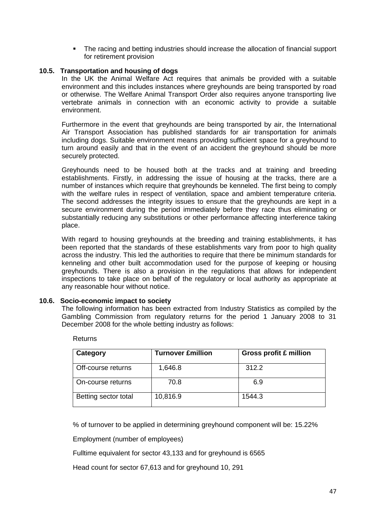The racing and betting industries should increase the allocation of financial support for retirement provision

# <span id="page-46-0"></span>**10.5. Transportation and housing of dogs**

In the UK the Animal Welfare Act requires that animals be provided with a suitable environment and this includes instances where greyhounds are being transported by road or otherwise. The Welfare Animal Transport Order also requires anyone transporting live vertebrate animals in connection with an economic activity to provide a suitable environment.

Furthermore in the event that greyhounds are being transported by air, the International Air Transport Association has published standards for air transportation for animals including dogs. Suitable environment means providing sufficient space for a greyhound to turn around easily and that in the event of an accident the greyhound should be more securely protected.

Greyhounds need to be housed both at the tracks and at training and breeding establishments. Firstly, in addressing the issue of housing at the tracks, there are a number of instances which require that greyhounds be kenneled. The first being to comply with the welfare rules in respect of ventilation, space and ambient temperature criteria. The second addresses the integrity issues to ensure that the greyhounds are kept in a secure environment during the period immediately before they race thus eliminating or substantially reducing any substitutions or other performance affecting interference taking place.

With regard to housing greyhounds at the breeding and training establishments, it has been reported that the standards of these establishments vary from poor to high quality across the industry. This led the authorities to require that there be minimum standards for kenneling and other built accommodation used for the purpose of keeping or housing greyhounds. There is also a provision in the regulations that allows for independent inspections to take place on behalf of the regulatory or local authority as appropriate at any reasonable hour without notice.

#### <span id="page-46-1"></span>**10.6. Socio-economic impact to society**

The following information has been extracted from Industry Statistics as compiled by the Gambling Commission from regulatory returns for the period 1 January 2008 to 31 December 2008 for the whole betting industry as follows:

| Category             | <b>Turnover £million</b> | <b>Gross profit £ million</b> |
|----------------------|--------------------------|-------------------------------|
| Off-course returns   | 1,646.8                  | 312.2                         |
| On-course returns    | 70.8                     | 6.9                           |
| Betting sector total | 10,816.9                 | 1544.3                        |

Returns

% of turnover to be applied in determining greyhound component will be: 15.22%

Employment (number of employees)

Fulltime equivalent for sector 43,133 and for greyhound is 6565

Head count for sector 67,613 and for greyhound 10, 291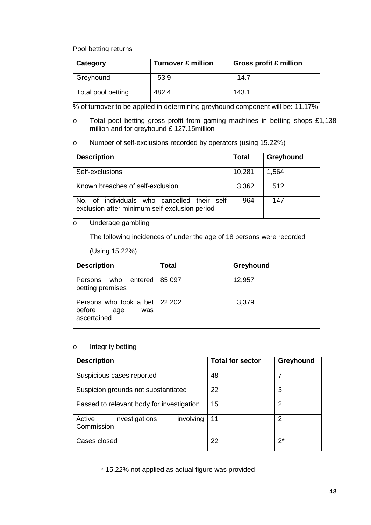## Pool betting returns

| Category           | <b>Turnover £ million</b> | <b>Gross profit £ million</b> |
|--------------------|---------------------------|-------------------------------|
| Greyhound          | 53.9                      | 14.7                          |
| Total pool betting | 482.4                     | 143.1                         |

% of turnover to be applied in determining greyhound component will be: 11.17%

- o Total pool betting gross profit from gaming machines in betting shops £1,138 million and for greyhound £ 127.15million
- o Number of self-exclusions recorded by operators (using 15.22%)

| <b>Description</b>                                                                           | <b>Total</b> | Greyhound |
|----------------------------------------------------------------------------------------------|--------------|-----------|
| Self-exclusions                                                                              | 10,281       | 1,564     |
| Known breaches of self-exclusion                                                             | 3,362        | 512       |
| No. of individuals who cancelled their self<br>exclusion after minimum self-exclusion period | 964          | 147       |

## o Underage gambling

The following incidences of under the age of 18 persons were recorded

## (Using 15.22%)

| <b>Description</b>                                                           | Total  | Greyhound |
|------------------------------------------------------------------------------|--------|-----------|
| Persons who entered<br>betting premises                                      | 85,097 | 12,957    |
| Persons who took a bet $\vert$ 22,202<br>before<br>was<br>age<br>ascertained |        | 3,379     |

## o Integrity betting

| <b>Description</b>                                  | <b>Total for sector</b> | Greyhound |
|-----------------------------------------------------|-------------------------|-----------|
| Suspicious cases reported                           | 48                      |           |
| Suspicion grounds not substantiated                 | 22                      | 3         |
| Passed to relevant body for investigation           | 15                      | 2         |
| involving<br>Active<br>investigations<br>Commission | 11                      | 2         |
| Cases closed                                        | 22                      | $2^*$     |

<span id="page-47-0"></span>\* 15.22% not applied as actual figure was provided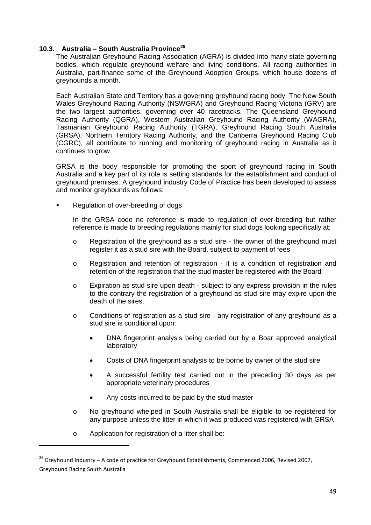# **10.3. Australia – South Australia Province[26](#page-48-0)**

The Australian Greyhound Racing Association (AGRA) is divided into many state governing bodies, which regulate greyhound welfare and living conditions. All racing authorities in Australia, part-finance some of the Greyhound Adoption Groups, which house dozens of greyhounds a month.

Each Australian State and Territory has a governing greyhound racing body. The New South Wales Greyhound Racing Authority (NSWGRA) and Greyhound Racing Victoria (GRV) are the two largest authorities, governing over 40 racetracks. The Queensland Greyhound Racing Authority (QGRA), Western Australian Greyhound Racing Authority (WAGRA), Tasmanian Greyhound Racing Authority (TGRA), Greyhound Racing South Australia (GRSA), Northern Territory Racing Authority, and the Canberra Greyhound Racing Club (CGRC), all contribute to running and monitoring of greyhound racing in Australia as it continues to grow

GRSA is the body responsible for promoting the sport of greyhound racing in South Australia and a key part of its role is setting standards for the establishment and conduct of greyhound premises. A greyhound industry Code of Practice has been developed to assess and monitor greyhounds as follows:

Regulation of over-breeding of dogs

In the GRSA code no reference is made to regulation of over-breeding but rather reference is made to breeding regulations mainly for stud dogs looking specifically at:

- o Registration of the greyhound as a stud sire the owner of the greyhound must register it as a stud sire with the Board, subject to payment of fees
- o Registration and retention of registration it is a condition of registration and retention of the registration that the stud master be registered with the Board
- o Expiration as stud sire upon death subject to any express provision in the rules to the contrary the registration of a greyhound as stud sire may expire upon the death of the sires.
- o Conditions of registration as a stud sire any registration of any greyhound as a stud sire is conditional upon:
	- DNA fingerprint analysis being carried out by a Boar approved analytical laboratory
	- Costs of DNA fingerprint analysis to be borne by owner of the stud sire
	- A successful fertility test carried out in the preceding 30 days as per appropriate veterinary procedures
	- Any costs incurred to be paid by the stud master
- o No greyhound whelped in South Australia shall be eligible to be registered for any purpose unless the litter in which it was produced was registered with GRSA
- o Application for registration of a litter shall be:

<u>.</u>

<span id="page-48-0"></span><sup>&</sup>lt;sup>26</sup> Grevhound Industry – A code of practice for Greyhound Establishments, Commenced 2006, Revised 2007, Greyhound Racing South Australia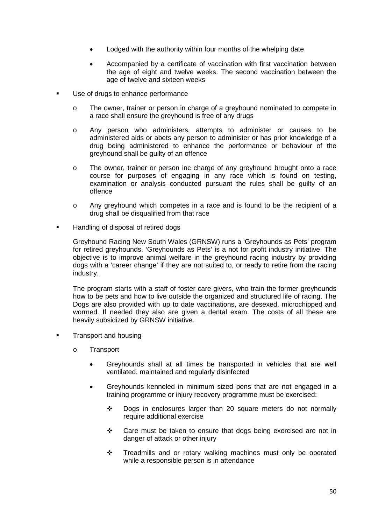- Lodged with the authority within four months of the whelping date
- Accompanied by a certificate of vaccination with first vaccination between the age of eight and twelve weeks. The second vaccination between the age of twelve and sixteen weeks
- Use of drugs to enhance performance
	- o The owner, trainer or person in charge of a greyhound nominated to compete in a race shall ensure the greyhound is free of any drugs
	- o Any person who administers, attempts to administer or causes to be administered aids or abets any person to administer or has prior knowledge of a drug being administered to enhance the performance or behaviour of the greyhound shall be guilty of an offence
	- o The owner, trainer or person inc charge of any greyhound brought onto a race course for purposes of engaging in any race which is found on testing, examination or analysis conducted pursuant the rules shall be guilty of an offence
	- o Any greyhound which competes in a race and is found to be the recipient of a drug shall be disqualified from that race
- Handling of disposal of retired dogs

Greyhound Racing New South Wales (GRNSW) runs a 'Greyhounds as Pets' program for retired greyhounds. 'Greyhounds as Pets' is a not for profit industry initiative. The objective is to improve animal welfare in the greyhound racing industry by providing dogs with a 'career change' if they are not suited to, or ready to retire from the racing industry.

The program starts with a staff of foster care givers, who train the former greyhounds how to be pets and how to live outside the organized and structured life of racing. The Dogs are also provided with up to date vaccinations, are desexed, microchipped and wormed. If needed they also are given a dental exam. The costs of all these are heavily subsidized by GRNSW initiative.

- Transport and housing
	- o Transport
		- Greyhounds shall at all times be transported in vehicles that are well ventilated, maintained and regularly disinfected
		- Greyhounds kenneled in minimum sized pens that are not engaged in a training programme or injury recovery programme must be exercised:
			- Dogs in enclosures larger than 20 square meters do not normally require additional exercise
			- \* Care must be taken to ensure that dogs being exercised are not in danger of attack or other injury
			- \* Treadmills and or rotary walking machines must only be operated while a responsible person is in attendance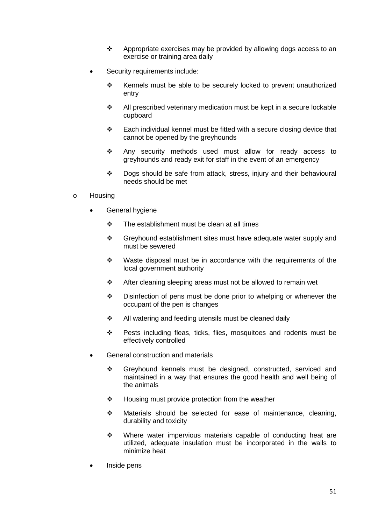- $\cdot \cdot$  Appropriate exercises may be provided by allowing dogs access to an exercise or training area daily
- Security requirements include:
	- \* Kennels must be able to be securely locked to prevent unauthorized entry
	- All prescribed veterinary medication must be kept in a secure lockable cupboard
	- $\div$  Each individual kennel must be fitted with a secure closing device that cannot be opened by the greyhounds
	- \* Any security methods used must allow for ready access to greyhounds and ready exit for staff in the event of an emergency
	- Dogs should be safe from attack, stress, injury and their behavioural needs should be met
- o Housing
	- General hygiene
		- $\div$  The establishment must be clean at all times
		- Greyhound establishment sites must have adequate water supply and must be sewered
		- $\div$  Waste disposal must be in accordance with the requirements of the local government authority
		- After cleaning sleeping areas must not be allowed to remain wet
		- ◆ Disinfection of pens must be done prior to whelping or whenever the occupant of the pen is changes
		- All watering and feeding utensils must be cleaned daily
		- \* Pests including fleas, ticks, flies, mosquitoes and rodents must be effectively controlled
	- General construction and materials
		- Greyhound kennels must be designed, constructed, serviced and maintained in a way that ensures the good health and well being of the animals
		- ❖ Housing must provide protection from the weather
		- Materials should be selected for ease of maintenance, cleaning, durability and toxicity
		- \* Where water impervious materials capable of conducting heat are utilized, adequate insulation must be incorporated in the walls to minimize heat
	- Inside pens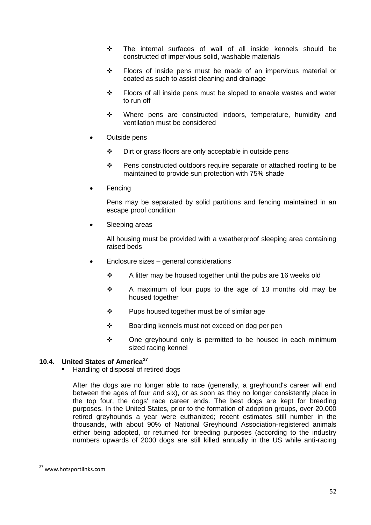- $\div$  The internal surfaces of wall of all inside kennels should be constructed of impervious solid, washable materials
- \* Floors of inside pens must be made of an impervious material or coated as such to assist cleaning and drainage
- Floors of all inside pens must be sloped to enable wastes and water to run off
- \* Where pens are constructed indoors, temperature, humidity and ventilation must be considered
- Outside pens
	- $\div$  Dirt or grass floors are only acceptable in outside pens
	- Pens constructed outdoors require separate or attached roofing to be maintained to provide sun protection with 75% shade
- **Fencing**

Pens may be separated by solid partitions and fencing maintained in an escape proof condition

Sleeping areas

All housing must be provided with a weatherproof sleeping area containing raised beds

- Enclosure sizes general considerations
	- $\div$  A litter may be housed together until the pubs are 16 weeks old
	- \* A maximum of four pups to the age of 13 months old may be housed together
	- $\div$  Pups housed together must be of similar age
	- Boarding kennels must not exceed on dog per pen
	- ◆ One greyhound only is permitted to be housed in each minimum sized racing kennel

# <span id="page-51-0"></span>**10.4. United States of America[27](#page-51-1)**

Handling of disposal of retired dogs

After the dogs are no longer able to race (generally, a greyhound's career will end between the ages of four and six), or as soon as they no longer consistently place in the top four, the dogs' race career ends. The best dogs are kept for breeding purposes. In the United States, prior to the formation of adoption groups, over 20,000 retired greyhounds a year were euthanized; recent estimates still number in the thousands, with about 90% of National Greyhound Association-registered animals either being adopted, or returned for breeding purposes (according to the industry numbers upwards of 2000 dogs are still killed annually in the US while anti-racing

<u>.</u>

<span id="page-51-1"></span><sup>&</sup>lt;sup>27</sup> www.hotsportlinks.com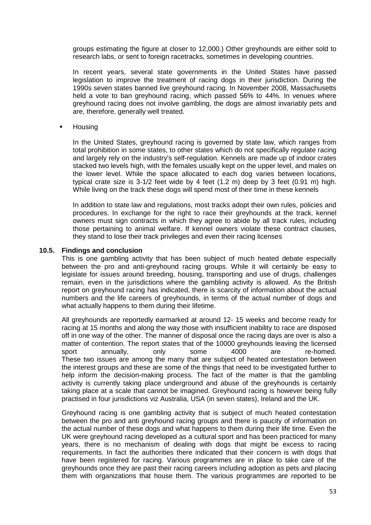groups estimating the figure at closer to 12,000.) Other greyhounds are either sold to research labs, or sent to foreign racetracks, sometimes in developing countries.

In recent years, several state governments in the United States have passed legislation to improve the treatment of racing dogs in their jurisdiction. During the 1990s seven states banned live greyhound racing. In November 2008, Massachusetts held a vote to ban greyhound racing, which passed 56% to 44%. In venues where greyhound racing does not involve gambling, the dogs are almost invariably pets and are, therefore, generally well treated.

Housing

In the United States, greyhound racing is governed by state law, which ranges from total prohibition in some states, to other states which do not specifically regulate racing and largely rely on the industry's self-regulation. Kennels are made up of indoor crates stacked two levels high, with the females usually kept on the upper level, and males on the lower level. While the space allocated to each dog varies between locations, typical crate size is 3-1/2 feet wide by 4 feet (1.2 m) deep by 3 feet (0.91 m) high. While living on the track these dogs will spend most of their time in these kennels

In addition to state law and regulations, most tracks adopt their own rules, policies and procedures. In exchange for the right to race their greyhounds at the track, kennel owners must sign contracts in which they agree to abide by all track rules, including those pertaining to animal welfare. If kennel owners violate these contract clauses, they stand to lose their track privileges and even their racing licenses

## <span id="page-52-0"></span>**10.5. Findings and conclusion**

This is one gambling activity that has been subject of much heated debate especially between the pro and anti-greyhound racing groups. While it will certainly be easy to legislate for issues around breeding, housing, transporting and use of drugs, challenges remain, even in the jurisdictions where the gambling activity is allowed. As the British report on greyhound racing has indicated, there is scarcity of information about the actual numbers and the life careers of greyhounds, in terms of the actual number of dogs and what actually happens to them during their lifetime.

All greyhounds are reportedly earmarked at around 12- 15 weeks and become ready for racing at 15 months and along the way those with insufficient inability to race are disposed off in one way of the other. The manner of disposal once the racing days are over is also a matter of contention. The report states that of the 10000 greyhounds leaving the licensed sport annually, only some 4000 are re-homed. These two issues are among the many that are subject of heated contestation between the interest groups and these are some of the things that need to be investigated further to help inform the decision-making process. The fact of the matter is that the gambling activity is currently taking place underground and abuse of the greyhounds is certainly taking place at a scale that cannot be imagined. Greyhound racing is however being fully practised in four jurisdictions viz Australia, USA (in seven states), Ireland and the UK.

Greyhound racing is one gambling activity that is subject of much heated contestation between the pro and anti greyhound racing groups and there is paucity of information on the actual number of these dogs and what happens to them during their life time. Even the UK were greyhound racing developed as a cultural sport and has been practiced for many years, there is no mechanism of dealing with dogs that might be excess to racing requirements. In fact the authorities there indicated that their concern is with dogs that have been registered for racing. Various programmes are in place to take care of the greyhounds once they are past their racing careers including adoption as pets and placing them with organizations that house them. The various programmes are reported to be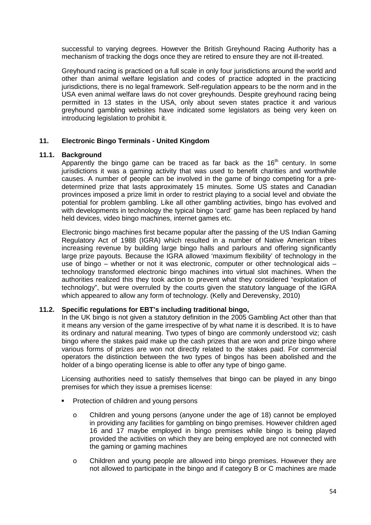successful to varying degrees. However the British Greyhound Racing Authority has a mechanism of tracking the dogs once they are retired to ensure they are not ill-treated.

Greyhound racing is practiced on a full scale in only four jurisdictions around the world and other than animal welfare legislation and codes of practice adopted in the practicing jurisdictions, there is no legal framework. Self-regulation appears to be the norm and in the USA even animal welfare laws do not cover greyhounds. Despite greyhound racing being permitted in 13 states in the USA, only about seven states practice it and various greyhound gambling websites have indicated some legislators as being very keen on introducing legislation to prohibit it.

# <span id="page-53-0"></span>**11. Electronic Bingo Terminals - United Kingdom**

## <span id="page-53-1"></span>**11.1. Background**

Apparently the bingo game can be traced as far back as the  $16<sup>th</sup>$  century. In some jurisdictions it was a gaming activity that was used to benefit charities and worthwhile causes. A number of people can be involved in the game of bingo competing for a predetermined prize that lasts approximately 15 minutes. Some US states and Canadian provinces imposed a prize limit in order to restrict playing to a social level and obviate the potential for problem gambling. Like all other gambling activities, bingo has evolved and with developments in technology the typical bingo 'card' game has been replaced by hand held devices, video bingo machines, internet games etc.

Electronic bingo machines first became popular after the passing of the US Indian Gaming Regulatory Act of 1988 (IGRA) which resulted in a number of Native American tribes increasing revenue by building large bingo halls and parlours and offering significantly large prize payouts. Because the IGRA allowed 'maximum flexibility' of technology in the use of bingo – whether or not it was electronic, computer or other technological aids – technology transformed electronic bingo machines into virtual slot machines. When the authorities realized this they took action to prevent what they considered "exploitation of technology", but were overruled by the courts given the statutory language of the IGRA which appeared to allow any form of technology. (Kelly and Derevensky, 2010)

#### <span id="page-53-2"></span>**11.2. Specific regulations for EBT's including traditional bingo,**

In the UK bingo is not given a statutory definition in the 2005 Gambling Act other than that it means any version of the game irrespective of by what name it is described. It is to have its ordinary and natural meaning. Two types of bingo are commonly understood viz; cash bingo where the stakes paid make up the cash prizes that are won and prize bingo where various forms of prizes are won not directly related to the stakes paid. For commercial operators the distinction between the two types of bingos has been abolished and the holder of a bingo operating license is able to offer any type of bingo game.

Licensing authorities need to satisfy themselves that bingo can be played in any bingo premises for which they issue a premises license:

- Protection of children and young persons
	- o Children and young persons (anyone under the age of 18) cannot be employed in providing any facilities for gambling on bingo premises. However children aged 16 and 17 maybe employed in bingo premises while bingo is being played provided the activities on which they are being employed are not connected with the gaming or gaming machines
	- o Children and young people are allowed into bingo premises. However they are not allowed to participate in the bingo and if category B or C machines are made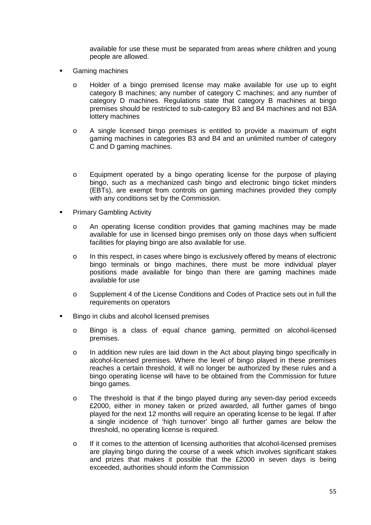available for use these must be separated from areas where children and young people are allowed.

- Gaming machines
	- o Holder of a bingo premised license may make available for use up to eight category B machines; any number of category C machines; and any number of category D machines. Regulations state that category B machines at bingo premises should be restricted to sub-category B3 and B4 machines and not B3A lottery machines
	- o A single licensed bingo premises is entitled to provide a maximum of eight gaming machines in categories B3 and B4 and an unlimited number of category C and D gaming machines.
	- o Equipment operated by a bingo operating license for the purpose of playing bingo, such as a mechanized cash bingo and electronic bingo ticket minders (EBTs), are exempt from controls on gaming machines provided they comply with any conditions set by the Commission.
- Primary Gambling Activity
	- o An operating license condition provides that gaming machines may be made available for use in licensed bingo premises only on those days when sufficient facilities for playing bingo are also available for use.
	- o In this respect, in cases where bingo is exclusively offered by means of electronic bingo terminals or bingo machines, there must be more individual player positions made available for bingo than there are gaming machines made available for use
	- o Supplement 4 of the License Conditions and Codes of Practice sets out in full the requirements on operators
- Bingo in clubs and alcohol licensed premises
	- o Bingo is a class of equal chance gaming, permitted on alcohol-licensed premises.
	- o In addition new rules are laid down in the Act about playing bingo specifically in alcohol-licensed premises. Where the level of bingo played in these premises reaches a certain threshold, it will no longer be authorized by these rules and a bingo operating license will have to be obtained from the Commission for future bingo games.
	- o The threshold is that if the bingo played during any seven-day period exceeds £2000, either in money taken or prized awarded, all further games of bingo played for the next 12 months will require an operating license to be legal. If after a single incidence of 'high turnover' bingo all further games are below the threshold, no operating license is required.
	- o If it comes to the attention of licensing authorities that alcohol-licensed premises are playing bingo during the course of a week which involves significant stakes and prizes that makes it possible that the £2000 in seven days is being exceeded, authorities should inform the Commission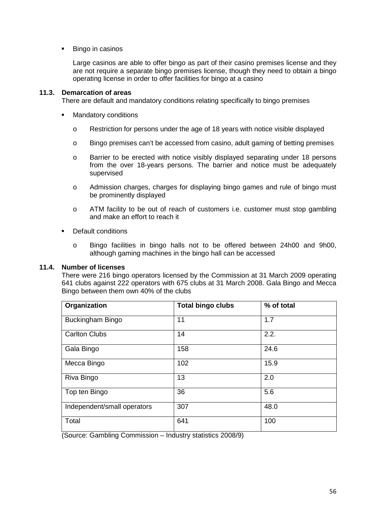Bingo in casinos

Large casinos are able to offer bingo as part of their casino premises license and they are not require a separate bingo premises license, though they need to obtain a bingo operating license in order to offer facilities for bingo at a casino

# <span id="page-55-0"></span>**11.3. Demarcation of areas**

There are default and mandatory conditions relating specifically to bingo premises

- **Mandatory conditions** 
	- o Restriction for persons under the age of 18 years with notice visible displayed
	- o Bingo premises can't be accessed from casino, adult gaming of betting premises
	- o Barrier to be erected with notice visibly displayed separating under 18 persons from the over 18-years persons. The barrier and notice must be adequately supervised
	- o Admission charges, charges for displaying bingo games and rule of bingo must be prominently displayed
	- o ATM facility to be out of reach of customers i.e. customer must stop gambling and make an effort to reach it
- Default conditions
	- o Bingo facilities in bingo halls not to be offered between 24h00 and 9h00, although gaming machines in the bingo hall can be accessed

# <span id="page-55-1"></span>**11.4. Number of licenses**

There were 216 bingo operators licensed by the Commission at 31 March 2009 operating 641 clubs against 222 operators with 675 clubs at 31 March 2008. Gala Bingo and Mecca Bingo between them own 40% of the clubs

| Organization                | <b>Total bingo clubs</b> | % of total |
|-----------------------------|--------------------------|------------|
| <b>Buckingham Bingo</b>     | 11                       | 1.7        |
| <b>Carlton Clubs</b>        | 14                       | 2.2.       |
| Gala Bingo                  | 158                      | 24.6       |
| Mecca Bingo                 | 102                      | 15.9       |
| Riva Bingo                  | 13                       | 2.0        |
| Top ten Bingo               | 36                       | 5.6        |
| Independent/small operators | 307                      | 48.0       |
| Total                       | 641                      | 100        |

(Source: Gambling Commission – Industry statistics 2008/9)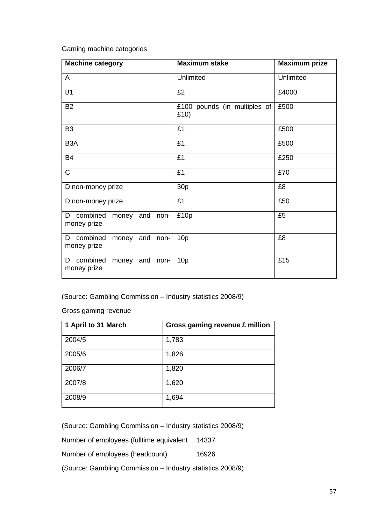Gaming machine categories

| <b>Machine category</b>                              | <b>Maximum stake</b>                 | <b>Maximum prize</b> |
|------------------------------------------------------|--------------------------------------|----------------------|
| A                                                    | Unlimited                            | Unlimited            |
| <b>B1</b>                                            | £2                                   | £4000                |
| <b>B2</b>                                            | £100 pounds (in multiples of<br>£10) | £500                 |
| B <sub>3</sub>                                       | £1                                   | £500                 |
| B <sub>3</sub> A                                     | £1                                   | £500                 |
| <b>B4</b>                                            | £1                                   | £250                 |
| $\mathsf{C}$                                         | £1                                   | £70                  |
| D non-money prize                                    | 30 <sub>p</sub>                      | £8                   |
| D non-money prize                                    | £1                                   | £50                  |
| combined money and non-<br>D<br>money prize          | £10p                                 | £5                   |
| combined<br>money and<br>D<br>non-<br>money prize    | 10 <sub>p</sub>                      | £8                   |
| combined<br>D<br>and<br>money<br>non-<br>money prize | 10p                                  | £15                  |

(Source: Gambling Commission – Industry statistics 2008/9)

Gross gaming revenue

| 1 April to 31 March | Gross gaming revenue £ million |
|---------------------|--------------------------------|
| 2004/5              | 1,783                          |
| 2005/6              | 1,826                          |
| 2006/7              | 1,820                          |
| 2007/8              | 1,620                          |
| 2008/9              | 1,694                          |

(Source: Gambling Commission – Industry statistics 2008/9)

Number of employees (fulltime equivalent 14337

Number of employees (headcount) 16926

(Source: Gambling Commission – Industry statistics 2008/9)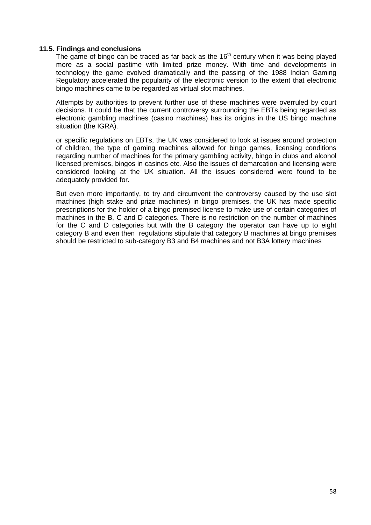## <span id="page-57-0"></span>**11.5. Findings and conclusions**

The game of bingo can be traced as far back as the  $16<sup>th</sup>$  century when it was being played more as a social pastime with limited prize money. With time and developments in technology the game evolved dramatically and the passing of the 1988 Indian Gaming Regulatory accelerated the popularity of the electronic version to the extent that electronic bingo machines came to be regarded as virtual slot machines.

Attempts by authorities to prevent further use of these machines were overruled by court decisions. It could be that the current controversy surrounding the EBTs being regarded as electronic gambling machines (casino machines) has its origins in the US bingo machine situation (the IGRA).

or specific regulations on EBTs, the UK was considered to look at issues around protection of children, the type of gaming machines allowed for bingo games, licensing conditions regarding number of machines for the primary gambling activity, bingo in clubs and alcohol licensed premises, bingos in casinos etc. Also the issues of demarcation and licensing were considered looking at the UK situation. All the issues considered were found to be adequately provided for.

But even more importantly, to try and circumvent the controversy caused by the use slot machines (high stake and prize machines) in bingo premises, the UK has made specific prescriptions for the holder of a bingo premised license to make use of certain categories of machines in the B, C and D categories. There is no restriction on the number of machines for the C and D categories but with the B category the operator can have up to eight category B and even then regulations stipulate that category B machines at bingo premises should be restricted to sub-category B3 and B4 machines and not B3A lottery machines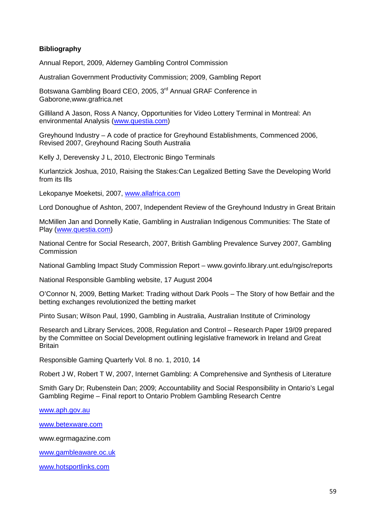# **Bibliography**

Annual Report, 2009, Alderney Gambling Control Commission

Australian Government Productivity Commission; 2009, Gambling Report

Botswana Gambling Board CEO, 2005, 3<sup>rd</sup> Annual GRAF Conference in Gaborone,www.grafrica.net

Gilliland A Jason, Ross A Nancy, Opportunities for Video Lottery Terminal in Montreal: An environmental Analysis [\(www.questia.com\)](http://www.questia.com/)

Greyhound Industry – A code of practice for Greyhound Establishments, Commenced 2006, Revised 2007, Greyhound Racing South Australia

Kelly J, Derevensky J L, 2010, Electronic Bingo Terminals

Kurlantzick Joshua, 2010, Raising the Stakes:Can Legalized Betting Save the Developing World from its Ills

Lekopanye Moeketsi, 2007, [www.allafrica.com](http://www.allafrica.com/)

Lord Donoughue of Ashton, 2007, Independent Review of the Greyhound Industry in Great Britain

McMillen Jan and Donnelly Katie, Gambling in Australian Indigenous Communities: The State of Play [\(www.questia.com\)](http://www.questia.com/)

National Centre for Social Research, 2007, British Gambling Prevalence Survey 2007, Gambling Commission

National Gambling Impact Study Commission Report – www.govinfo.library.unt.edu/ngisc/reports

National Responsible Gambling website, 17 August 2004

O'Connor N, 2009, Betting Market: Trading without Dark Pools – The Story of how Betfair and the betting exchanges revolutionized the betting market

Pinto Susan; Wilson Paul, 1990, Gambling in Australia, Australian Institute of Criminology

Research and Library Services, 2008, Regulation and Control – Research Paper 19/09 prepared by the Committee on Social Development outlining legislative framework in Ireland and Great **Britain** 

Responsible Gaming Quarterly Vol. 8 no. 1, 2010, 14

Robert J W, Robert T W, 2007, Internet Gambling: A Comprehensive and Synthesis of Literature

Smith Gary Dr; Rubenstein Dan; 2009; Accountability and Social Responsibility in Ontario's Legal Gambling Regime – Final report to Ontario Problem Gambling Research Centre

[www.aph.gov.au](http://www.aph.gov.au/)

[www.betexware.com](http://www.betexware.com/)

www.egrmagazine.com

[www.gambleaware.oc.uk](http://www.gambleaware.oc.uk/)

[www.hotsportlinks.com](http://www.hotsportlinks.com/)